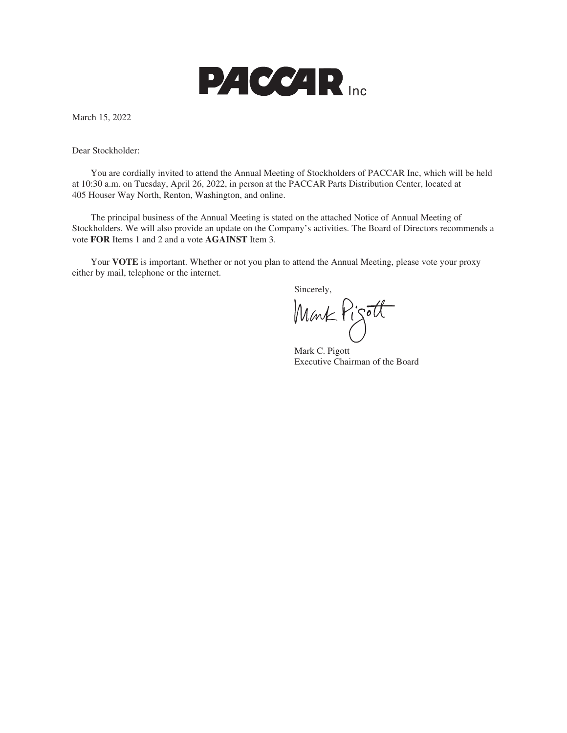

March 15, 2022

Dear Stockholder:

You are cordially invited to attend the Annual Meeting of Stockholders of PACCAR Inc, which will be held at 10:30 a.m. on Tuesday, April 26, 2022, in person at the PACCAR Parts Distribution Center, located at 405 Houser Way North, Renton, Washington, and online.

The principal business of the Annual Meeting is stated on the attached Notice of Annual Meeting of Stockholders. We will also provide an update on the Company's activities. The Board of Directors recommends a vote **FOR** Items 1 and 2 and a vote **AGAINST** Item 3.

Your **VOTE** is important. Whether or not you plan to attend the Annual Meeting, please vote your proxy either by mail, telephone or the internet.

Sincerely, Mark Pigott

Mark C. Pigott Executive Chairman of the Board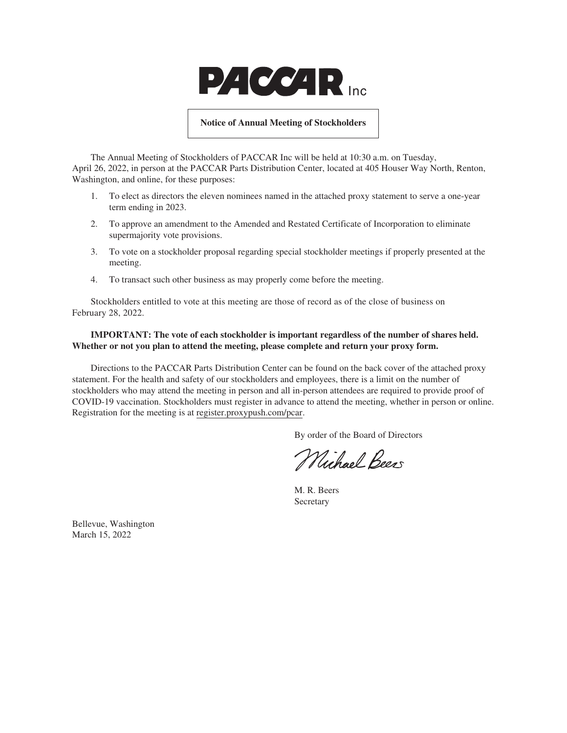

#### **Notice of Annual Meeting of Stockholders**

The Annual Meeting of Stockholders of PACCAR Inc will be held at 10:30 a.m. on Tuesday, April 26, 2022, in person at the PACCAR Parts Distribution Center, located at 405 Houser Way North, Renton, Washington, and online, for these purposes:

- 1. To elect as directors the eleven nominees named in the attached proxy statement to serve a one-year term ending in 2023.
- 2. To approve an amendment to the Amended and Restated Certificate of Incorporation to eliminate supermajority vote provisions.
- 3. To vote on a stockholder proposal regarding special stockholder meetings if properly presented at the meeting.
- 4. To transact such other business as may properly come before the meeting.

Stockholders entitled to vote at this meeting are those of record as of the close of business on February 28, 2022.

# **IMPORTANT: The vote of each stockholder is important regardless of the number of shares held. Whether or not you plan to attend the meeting, please complete and return your proxy form.**

Directions to the PACCAR Parts Distribution Center can be found on the back cover of the attached proxy statement. For the health and safety of our stockholders and employees, there is a limit on the number of stockholders who may attend the meeting in person and all in-person attendees are required to provide proof of COVID-19 vaccination. Stockholders must register in advance to attend the meeting, whether in person or online. Registration for the meeting is at register.proxypush.com/pcar.

By order of the Board of Directors

Michael Beers

M. R. Beers Secretary

Bellevue, Washington March 15, 2022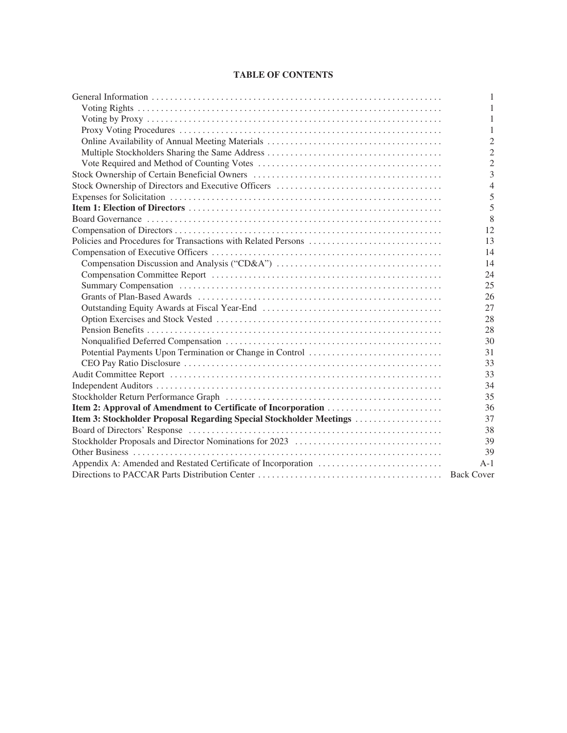# **TABLE OF CONTENTS**

|                                                                     | 1              |
|---------------------------------------------------------------------|----------------|
|                                                                     | 1              |
|                                                                     | 1              |
|                                                                     | 1              |
|                                                                     | $\overline{2}$ |
|                                                                     | $\overline{2}$ |
|                                                                     | $\overline{2}$ |
|                                                                     | 3              |
|                                                                     | $\overline{4}$ |
|                                                                     | 5              |
|                                                                     | 5              |
|                                                                     | 8              |
|                                                                     | 12             |
|                                                                     | 13             |
|                                                                     | 14             |
|                                                                     | 14             |
|                                                                     | 24             |
|                                                                     | 25             |
|                                                                     | 26             |
|                                                                     | 27             |
|                                                                     | 28             |
|                                                                     | 28             |
|                                                                     | 30             |
|                                                                     | 31             |
|                                                                     | 33             |
|                                                                     | 33             |
|                                                                     | 34             |
|                                                                     | 35             |
|                                                                     | 36             |
| Item 3: Stockholder Proposal Regarding Special Stockholder Meetings | 37             |
|                                                                     | 38             |
|                                                                     | 39             |
|                                                                     | 39             |
|                                                                     | $A-1$          |
|                                                                     |                |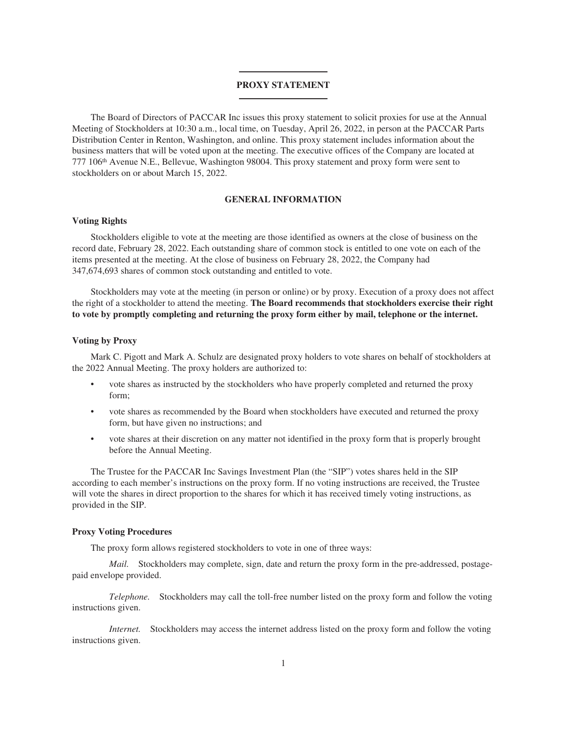#### **PROXY STATEMENT**

The Board of Directors of PACCAR Inc issues this proxy statement to solicit proxies for use at the Annual Meeting of Stockholders at 10:30 a.m., local time, on Tuesday, April 26, 2022, in person at the PACCAR Parts Distribution Center in Renton, Washington, and online. This proxy statement includes information about the business matters that will be voted upon at the meeting. The executive offices of the Company are located at 777 106th Avenue N.E., Bellevue, Washington 98004. This proxy statement and proxy form were sent to stockholders on or about March 15, 2022.

# **GENERAL INFORMATION**

#### <span id="page-3-1"></span><span id="page-3-0"></span>**Voting Rights**

Stockholders eligible to vote at the meeting are those identified as owners at the close of business on the record date, February 28, 2022. Each outstanding share of common stock is entitled to one vote on each of the items presented at the meeting. At the close of business on February 28, 2022, the Company had 347,674,693 shares of common stock outstanding and entitled to vote.

Stockholders may vote at the meeting (in person or online) or by proxy. Execution of a proxy does not affect the right of a stockholder to attend the meeting. **The Board recommends that stockholders exercise their right to vote by promptly completing and returning the proxy form either by mail, telephone or the internet.**

# <span id="page-3-2"></span>**Voting by Proxy**

Mark C. Pigott and Mark A. Schulz are designated proxy holders to vote shares on behalf of stockholders at the 2022 Annual Meeting. The proxy holders are authorized to:

- vote shares as instructed by the stockholders who have properly completed and returned the proxy form;
- vote shares as recommended by the Board when stockholders have executed and returned the proxy form, but have given no instructions; and
- vote shares at their discretion on any matter not identified in the proxy form that is properly brought before the Annual Meeting.

The Trustee for the PACCAR Inc Savings Investment Plan (the "SIP") votes shares held in the SIP according to each member's instructions on the proxy form. If no voting instructions are received, the Trustee will vote the shares in direct proportion to the shares for which it has received timely voting instructions, as provided in the SIP.

# <span id="page-3-3"></span>**Proxy Voting Procedures**

The proxy form allows registered stockholders to vote in one of three ways:

*Mail.* Stockholders may complete, sign, date and return the proxy form in the pre-addressed, postagepaid envelope provided.

*Telephone.* Stockholders may call the toll-free number listed on the proxy form and follow the voting instructions given.

*Internet.* Stockholders may access the internet address listed on the proxy form and follow the voting instructions given.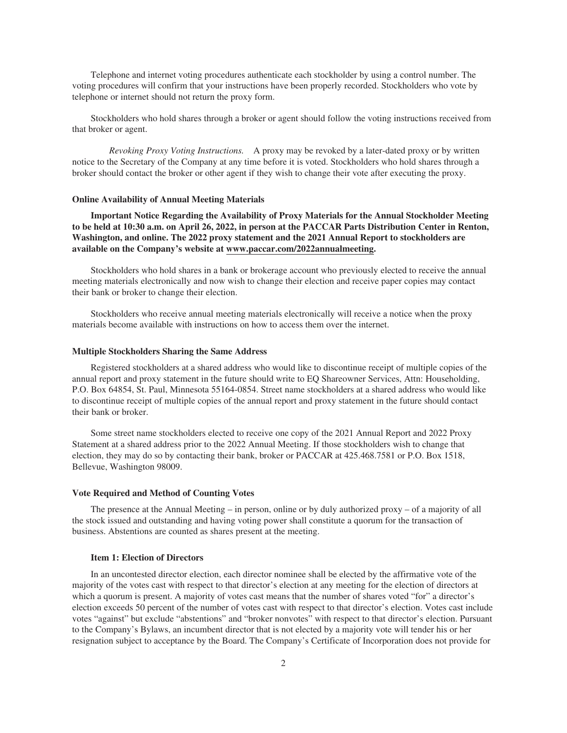Telephone and internet voting procedures authenticate each stockholder by using a control number. The voting procedures will confirm that your instructions have been properly recorded. Stockholders who vote by telephone or internet should not return the proxy form.

Stockholders who hold shares through a broker or agent should follow the voting instructions received from that broker or agent.

*Revoking Proxy Voting Instructions.* A proxy may be revoked by a later-dated proxy or by written notice to the Secretary of the Company at any time before it is voted. Stockholders who hold shares through a broker should contact the broker or other agent if they wish to change their vote after executing the proxy.

#### <span id="page-4-0"></span>**Online Availability of Annual Meeting Materials**

**Important Notice Regarding the Availability of Proxy Materials for the Annual Stockholder Meeting to be held at 10:30 a.m. on April 26, 2022, in person at the PACCAR Parts Distribution Center in Renton, Washington, and online. The 2022 proxy statement and the 2021 Annual Report to stockholders are available on the Company's website at www.paccar.com/2022annualmeeting.**

Stockholders who hold shares in a bank or brokerage account who previously elected to receive the annual meeting materials electronically and now wish to change their election and receive paper copies may contact their bank or broker to change their election.

Stockholders who receive annual meeting materials electronically will receive a notice when the proxy materials become available with instructions on how to access them over the internet.

#### <span id="page-4-1"></span>**Multiple Stockholders Sharing the Same Address**

Registered stockholders at a shared address who would like to discontinue receipt of multiple copies of the annual report and proxy statement in the future should write to EQ Shareowner Services, Attn: Householding, P.O. Box 64854, St. Paul, Minnesota 55164-0854. Street name stockholders at a shared address who would like to discontinue receipt of multiple copies of the annual report and proxy statement in the future should contact their bank or broker.

Some street name stockholders elected to receive one copy of the 2021 Annual Report and 2022 Proxy Statement at a shared address prior to the 2022 Annual Meeting. If those stockholders wish to change that election, they may do so by contacting their bank, broker or PACCAR at 425.468.7581 or P.O. Box 1518, Bellevue, Washington 98009.

#### <span id="page-4-2"></span>**Vote Required and Method of Counting Votes**

The presence at the Annual Meeting – in person, online or by duly authorized proxy – of a majority of all the stock issued and outstanding and having voting power shall constitute a quorum for the transaction of business. Abstentions are counted as shares present at the meeting.

#### **Item 1: Election of Directors**

In an uncontested director election, each director nominee shall be elected by the affirmative vote of the majority of the votes cast with respect to that director's election at any meeting for the election of directors at which a quorum is present. A majority of votes cast means that the number of shares voted "for" a director's election exceeds 50 percent of the number of votes cast with respect to that director's election. Votes cast include votes "against" but exclude "abstentions" and "broker nonvotes" with respect to that director's election. Pursuant to the Company's Bylaws, an incumbent director that is not elected by a majority vote will tender his or her resignation subject to acceptance by the Board. The Company's Certificate of Incorporation does not provide for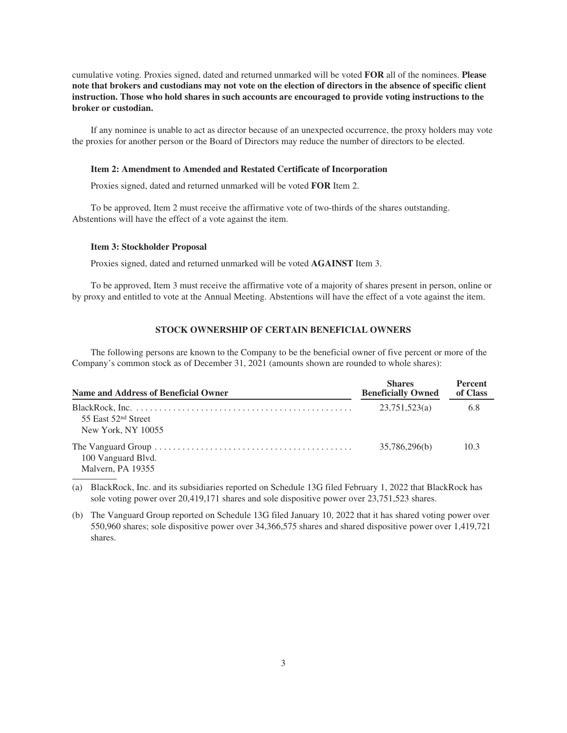cumulative voting. Proxies signed, dated and returned unmarked will be voted **FOR** all of the nominees. **Please note that brokers and custodians may not vote on the election of directors in the absence of specific client instruction. Those who hold shares in such accounts are encouraged to provide voting instructions to the broker or custodian.**

If any nominee is unable to act as director because of an unexpected occurrence, the proxy holders may vote the proxies for another person or the Board of Directors may reduce the number of directors to be elected.

#### **Item 2: Amendment to Amended and Restated Certificate of Incorporation**

Proxies signed, dated and returned unmarked will be voted **FOR** Item 2.

To be approved, Item 2 must receive the affirmative vote of two-thirds of the shares outstanding. Abstentions will have the effect of a vote against the item.

#### **Item 3: Stockholder Proposal**

Proxies signed, dated and returned unmarked will be voted **AGAINST** Item 3.

<span id="page-5-0"></span>To be approved, Item 3 must receive the affirmative vote of a majority of shares present in person, online or by proxy and entitled to vote at the Annual Meeting. Abstentions will have the effect of a vote against the item.

# **STOCK OWNERSHIP OF CERTAIN BENEFICIAL OWNERS**

The following persons are known to the Company to be the beneficial owner of five percent or more of the Company's common stock as of December 31, 2021 (amounts shown are rounded to whole shares):

| Name and Address of Beneficial Owner                  | <b>Shares</b><br><b>Beneficially Owned</b> | <b>Percent</b><br>of Class |
|-------------------------------------------------------|--------------------------------------------|----------------------------|
| 55 East 52 <sup>nd</sup> Street<br>New York, NY 10055 | 23,751,523(a)                              | 6.8                        |
| 100 Vanguard Blvd.<br>Malvern, PA 19355               | 35,786,296(b)                              | 10.3                       |

(a) BlackRock, Inc. and its subsidiaries reported on Schedule 13G filed February 1, 2022 that BlackRock has sole voting power over 20,419,171 shares and sole dispositive power over 23,751,523 shares.

(b) The Vanguard Group reported on Schedule 13G filed January 10, 2022 that it has shared voting power over 550,960 shares; sole dispositive power over 34,366,575 shares and shared dispositive power over 1,419,721 shares.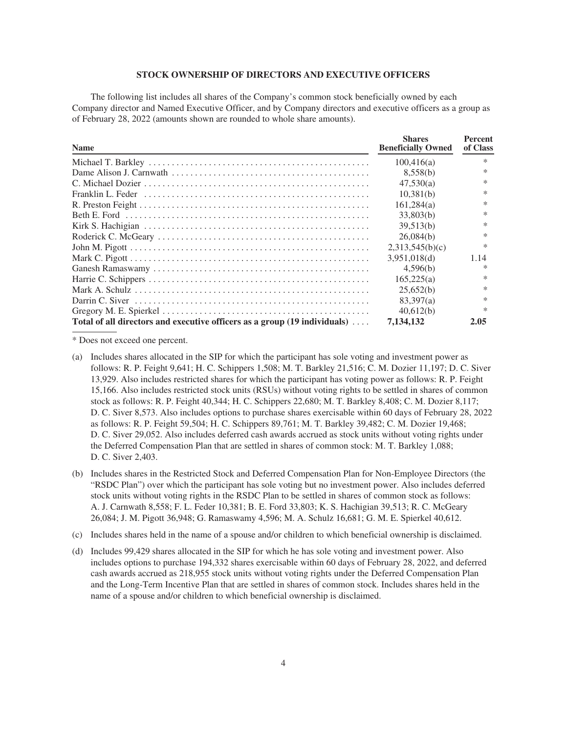### **STOCK OWNERSHIP OF DIRECTORS AND EXECUTIVE OFFICERS**

<span id="page-6-0"></span>The following list includes all shares of the Company's common stock beneficially owned by each Company director and Named Executive Officer, and by Company directors and executive officers as a group as of February 28, 2022 (amounts shown are rounded to whole share amounts).

| <b>Name</b>                                                                                                               | <b>Shares</b><br><b>Beneficially Owned</b> | <b>Percent</b><br>of Class |
|---------------------------------------------------------------------------------------------------------------------------|--------------------------------------------|----------------------------|
|                                                                                                                           | 100,416(a)                                 | ∗                          |
|                                                                                                                           | 8,558(b)                                   | ∗                          |
|                                                                                                                           | 47,530(a)                                  | *                          |
| Franklin L. Feder $\dots \dots \dots \dots \dots \dots \dots \dots \dots \dots \dots \dots \dots \dots \dots \dots \dots$ | 10,381(b)                                  | *                          |
|                                                                                                                           | 161.284(a)                                 | *                          |
|                                                                                                                           | 33,803(b)                                  | *                          |
|                                                                                                                           | 39.513(b)                                  | *                          |
|                                                                                                                           | 26.084(b)                                  | $\ast$                     |
|                                                                                                                           | 2,313,545(b)(c)                            | *                          |
|                                                                                                                           | 3.951.018(d)                               | 1.14                       |
|                                                                                                                           | 4.596(b)                                   | *                          |
|                                                                                                                           | 165,225(a)                                 | *                          |
|                                                                                                                           | 25,652(b)                                  | *                          |
|                                                                                                                           | 83.397(a)                                  | *                          |
|                                                                                                                           | 40.612(b)                                  | *                          |
| Total of all directors and executive officers as a group (19 individuals)                                                 | 7.134.132                                  | 2.05                       |

\* Does not exceed one percent.

- (a) Includes shares allocated in the SIP for which the participant has sole voting and investment power as follows: R. P. Feight 9,641; H. C. Schippers 1,508; M. T. Barkley 21,516; C. M. Dozier 11,197; D. C. Siver 13,929. Also includes restricted shares for which the participant has voting power as follows: R. P. Feight 15,166. Also includes restricted stock units (RSUs) without voting rights to be settled in shares of common stock as follows: R. P. Feight 40,344; H. C. Schippers 22,680; M. T. Barkley 8,408; C. M. Dozier 8,117; D. C. Siver 8,573. Also includes options to purchase shares exercisable within 60 days of February 28, 2022 as follows: R. P. Feight 59,504; H. C. Schippers 89,761; M. T. Barkley 39,482; C. M. Dozier 19,468; D. C. Siver 29,052. Also includes deferred cash awards accrued as stock units without voting rights under the Deferred Compensation Plan that are settled in shares of common stock: M. T. Barkley 1,088; D. C. Siver 2,403.
- (b) Includes shares in the Restricted Stock and Deferred Compensation Plan for Non-Employee Directors (the "RSDC Plan") over which the participant has sole voting but no investment power. Also includes deferred stock units without voting rights in the RSDC Plan to be settled in shares of common stock as follows: A. J. Carnwath 8,558; F. L. Feder 10,381; B. E. Ford 33,803; K. S. Hachigian 39,513; R. C. McGeary 26,084; J. M. Pigott 36,948; G. Ramaswamy 4,596; M. A. Schulz 16,681; G. M. E. Spierkel 40,612.
- (c) Includes shares held in the name of a spouse and/or children to which beneficial ownership is disclaimed.
- (d) Includes 99,429 shares allocated in the SIP for which he has sole voting and investment power. Also includes options to purchase 194,332 shares exercisable within 60 days of February 28, 2022, and deferred cash awards accrued as 218,955 stock units without voting rights under the Deferred Compensation Plan and the Long-Term Incentive Plan that are settled in shares of common stock. Includes shares held in the name of a spouse and/or children to which beneficial ownership is disclaimed.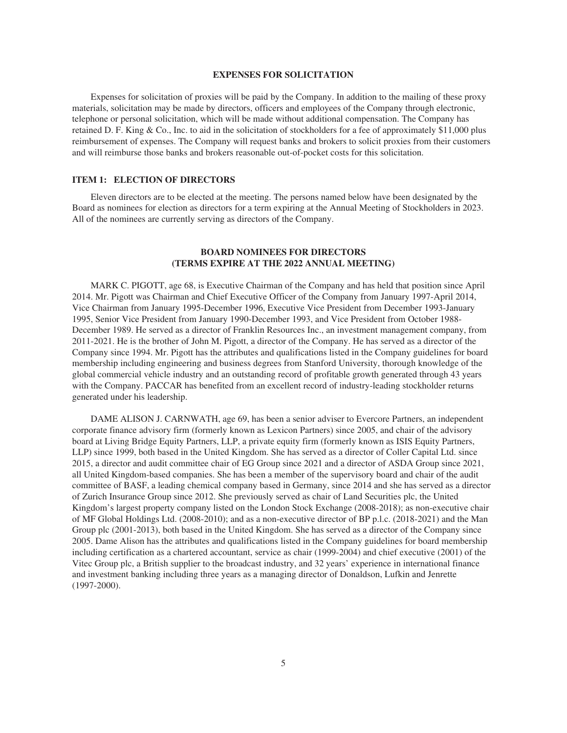#### **EXPENSES FOR SOLICITATION**

<span id="page-7-0"></span>Expenses for solicitation of proxies will be paid by the Company. In addition to the mailing of these proxy materials, solicitation may be made by directors, officers and employees of the Company through electronic, telephone or personal solicitation, which will be made without additional compensation. The Company has retained D. F. King & Co., Inc. to aid in the solicitation of stockholders for a fee of approximately \$11,000 plus reimbursement of expenses. The Company will request banks and brokers to solicit proxies from their customers and will reimburse those banks and brokers reasonable out-of-pocket costs for this solicitation.

#### <span id="page-7-1"></span>**ITEM 1: ELECTION OF DIRECTORS**

Eleven directors are to be elected at the meeting. The persons named below have been designated by the Board as nominees for election as directors for a term expiring at the Annual Meeting of Stockholders in 2023. All of the nominees are currently serving as directors of the Company.

# **BOARD NOMINEES FOR DIRECTORS (TERMS EXPIRE AT THE 2022 ANNUAL MEETING)**

MARK C. PIGOTT, age 68, is Executive Chairman of the Company and has held that position since April 2014. Mr. Pigott was Chairman and Chief Executive Officer of the Company from January 1997-April 2014, Vice Chairman from January 1995-December 1996, Executive Vice President from December 1993-January 1995, Senior Vice President from January 1990-December 1993, and Vice President from October 1988- December 1989. He served as a director of Franklin Resources Inc., an investment management company, from 2011-2021. He is the brother of John M. Pigott, a director of the Company. He has served as a director of the Company since 1994. Mr. Pigott has the attributes and qualifications listed in the Company guidelines for board membership including engineering and business degrees from Stanford University, thorough knowledge of the global commercial vehicle industry and an outstanding record of profitable growth generated through 43 years with the Company. PACCAR has benefited from an excellent record of industry-leading stockholder returns generated under his leadership.

DAME ALISON J. CARNWATH, age 69, has been a senior adviser to Evercore Partners, an independent corporate finance advisory firm (formerly known as Lexicon Partners) since 2005, and chair of the advisory board at Living Bridge Equity Partners, LLP, a private equity firm (formerly known as ISIS Equity Partners, LLP) since 1999, both based in the United Kingdom. She has served as a director of Coller Capital Ltd. since 2015, a director and audit committee chair of EG Group since 2021 and a director of ASDA Group since 2021, all United Kingdom-based companies. She has been a member of the supervisory board and chair of the audit committee of BASF, a leading chemical company based in Germany, since 2014 and she has served as a director of Zurich Insurance Group since 2012. She previously served as chair of Land Securities plc, the United Kingdom's largest property company listed on the London Stock Exchange (2008-2018); as non-executive chair of MF Global Holdings Ltd. (2008-2010); and as a non-executive director of BP p.l.c. (2018-2021) and the Man Group plc (2001-2013), both based in the United Kingdom. She has served as a director of the Company since 2005. Dame Alison has the attributes and qualifications listed in the Company guidelines for board membership including certification as a chartered accountant, service as chair (1999-2004) and chief executive (2001) of the Vitec Group plc, a British supplier to the broadcast industry, and 32 years' experience in international finance and investment banking including three years as a managing director of Donaldson, Lufkin and Jenrette (1997-2000).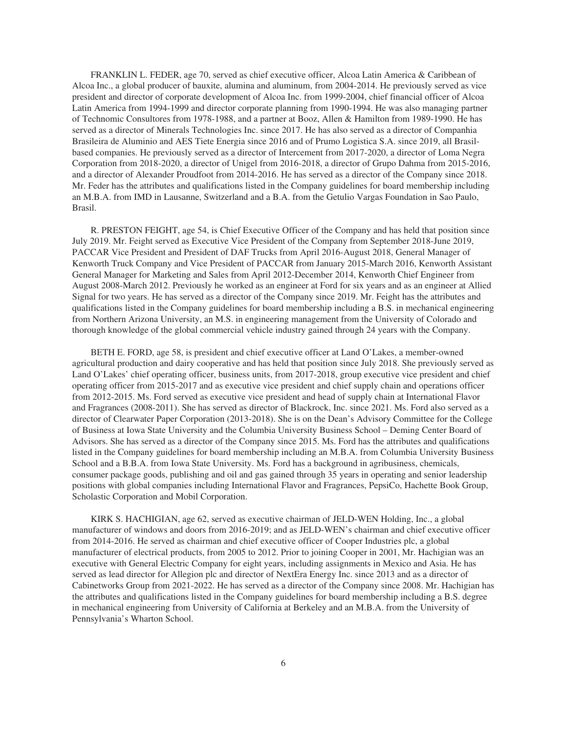FRANKLIN L. FEDER, age 70, served as chief executive officer, Alcoa Latin America & Caribbean of Alcoa Inc., a global producer of bauxite, alumina and aluminum, from 2004-2014. He previously served as vice president and director of corporate development of Alcoa Inc. from 1999-2004, chief financial officer of Alcoa Latin America from 1994-1999 and director corporate planning from 1990-1994. He was also managing partner of Technomic Consultores from 1978-1988, and a partner at Booz, Allen & Hamilton from 1989-1990. He has served as a director of Minerals Technologies Inc. since 2017. He has also served as a director of Companhia Brasileira de Aluminio and AES Tiete Energia since 2016 and of Prumo Logistica S.A. since 2019, all Brasilbased companies. He previously served as a director of Intercement from 2017-2020, a director of Loma Negra Corporation from 2018-2020, a director of Unigel from 2016-2018, a director of Grupo Dahma from 2015-2016, and a director of Alexander Proudfoot from 2014-2016. He has served as a director of the Company since 2018. Mr. Feder has the attributes and qualifications listed in the Company guidelines for board membership including an M.B.A. from IMD in Lausanne, Switzerland and a B.A. from the Getulio Vargas Foundation in Sao Paulo, Brasil.

R. PRESTON FEIGHT, age 54, is Chief Executive Officer of the Company and has held that position since July 2019. Mr. Feight served as Executive Vice President of the Company from September 2018-June 2019, PACCAR Vice President and President of DAF Trucks from April 2016-August 2018, General Manager of Kenworth Truck Company and Vice President of PACCAR from January 2015-March 2016, Kenworth Assistant General Manager for Marketing and Sales from April 2012-December 2014, Kenworth Chief Engineer from August 2008-March 2012. Previously he worked as an engineer at Ford for six years and as an engineer at Allied Signal for two years. He has served as a director of the Company since 2019. Mr. Feight has the attributes and qualifications listed in the Company guidelines for board membership including a B.S. in mechanical engineering from Northern Arizona University, an M.S. in engineering management from the University of Colorado and thorough knowledge of the global commercial vehicle industry gained through 24 years with the Company.

BETH E. FORD, age 58, is president and chief executive officer at Land O'Lakes, a member-owned agricultural production and dairy cooperative and has held that position since July 2018. She previously served as Land O'Lakes' chief operating officer, business units, from 2017-2018, group executive vice president and chief operating officer from 2015-2017 and as executive vice president and chief supply chain and operations officer from 2012-2015. Ms. Ford served as executive vice president and head of supply chain at International Flavor and Fragrances (2008-2011). She has served as director of Blackrock, Inc. since 2021. Ms. Ford also served as a director of Clearwater Paper Corporation (2013-2018). She is on the Dean's Advisory Committee for the College of Business at Iowa State University and the Columbia University Business School – Deming Center Board of Advisors. She has served as a director of the Company since 2015. Ms. Ford has the attributes and qualifications listed in the Company guidelines for board membership including an M.B.A. from Columbia University Business School and a B.B.A. from Iowa State University. Ms. Ford has a background in agribusiness, chemicals, consumer package goods, publishing and oil and gas gained through 35 years in operating and senior leadership positions with global companies including International Flavor and Fragrances, PepsiCo, Hachette Book Group, Scholastic Corporation and Mobil Corporation.

KIRK S. HACHIGIAN, age 62, served as executive chairman of JELD-WEN Holding, Inc., a global manufacturer of windows and doors from 2016-2019; and as JELD-WEN's chairman and chief executive officer from 2014-2016. He served as chairman and chief executive officer of Cooper Industries plc, a global manufacturer of electrical products, from 2005 to 2012. Prior to joining Cooper in 2001, Mr. Hachigian was an executive with General Electric Company for eight years, including assignments in Mexico and Asia. He has served as lead director for Allegion plc and director of NextEra Energy Inc. since 2013 and as a director of Cabinetworks Group from 2021-2022. He has served as a director of the Company since 2008. Mr. Hachigian has the attributes and qualifications listed in the Company guidelines for board membership including a B.S. degree in mechanical engineering from University of California at Berkeley and an M.B.A. from the University of Pennsylvania's Wharton School.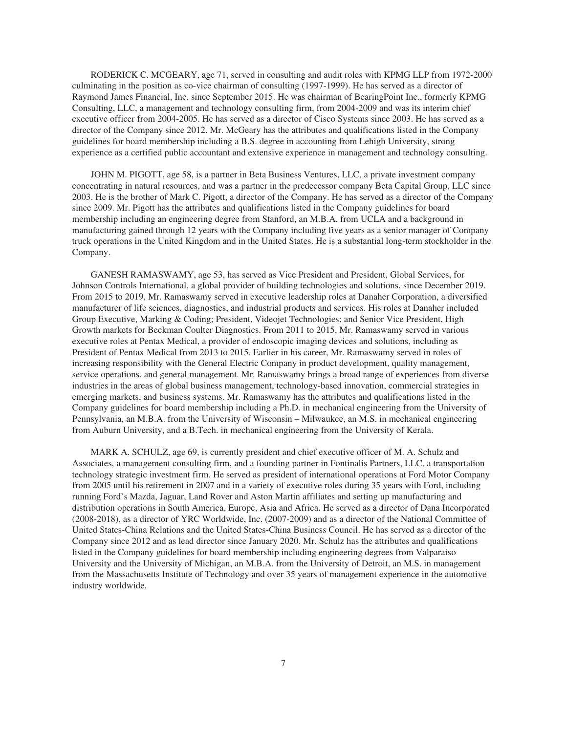RODERICK C. MCGEARY, age 71, served in consulting and audit roles with KPMG LLP from 1972-2000 culminating in the position as co-vice chairman of consulting (1997-1999). He has served as a director of Raymond James Financial, Inc. since September 2015. He was chairman of BearingPoint Inc., formerly KPMG Consulting, LLC, a management and technology consulting firm, from 2004-2009 and was its interim chief executive officer from 2004-2005. He has served as a director of Cisco Systems since 2003. He has served as a director of the Company since 2012. Mr. McGeary has the attributes and qualifications listed in the Company guidelines for board membership including a B.S. degree in accounting from Lehigh University, strong experience as a certified public accountant and extensive experience in management and technology consulting.

JOHN M. PIGOTT, age 58, is a partner in Beta Business Ventures, LLC, a private investment company concentrating in natural resources, and was a partner in the predecessor company Beta Capital Group, LLC since 2003. He is the brother of Mark C. Pigott, a director of the Company. He has served as a director of the Company since 2009. Mr. Pigott has the attributes and qualifications listed in the Company guidelines for board membership including an engineering degree from Stanford, an M.B.A. from UCLA and a background in manufacturing gained through 12 years with the Company including five years as a senior manager of Company truck operations in the United Kingdom and in the United States. He is a substantial long-term stockholder in the Company.

GANESH RAMASWAMY, age 53, has served as Vice President and President, Global Services, for Johnson Controls International, a global provider of building technologies and solutions, since December 2019. From 2015 to 2019, Mr. Ramaswamy served in executive leadership roles at Danaher Corporation, a diversified manufacturer of life sciences, diagnostics, and industrial products and services. His roles at Danaher included Group Executive, Marking & Coding; President, Videojet Technologies; and Senior Vice President, High Growth markets for Beckman Coulter Diagnostics. From 2011 to 2015, Mr. Ramaswamy served in various executive roles at Pentax Medical, a provider of endoscopic imaging devices and solutions, including as President of Pentax Medical from 2013 to 2015. Earlier in his career, Mr. Ramaswamy served in roles of increasing responsibility with the General Electric Company in product development, quality management, service operations, and general management. Mr. Ramaswamy brings a broad range of experiences from diverse industries in the areas of global business management, technology-based innovation, commercial strategies in emerging markets, and business systems. Mr. Ramaswamy has the attributes and qualifications listed in the Company guidelines for board membership including a Ph.D. in mechanical engineering from the University of Pennsylvania, an M.B.A. from the University of Wisconsin – Milwaukee, an M.S. in mechanical engineering from Auburn University, and a B.Tech. in mechanical engineering from the University of Kerala.

MARK A. SCHULZ, age 69, is currently president and chief executive officer of M. A. Schulz and Associates, a management consulting firm, and a founding partner in Fontinalis Partners, LLC, a transportation technology strategic investment firm. He served as president of international operations at Ford Motor Company from 2005 until his retirement in 2007 and in a variety of executive roles during 35 years with Ford, including running Ford's Mazda, Jaguar, Land Rover and Aston Martin affiliates and setting up manufacturing and distribution operations in South America, Europe, Asia and Africa. He served as a director of Dana Incorporated (2008-2018), as a director of YRC Worldwide, Inc. (2007-2009) and as a director of the National Committee of United States-China Relations and the United States-China Business Council. He has served as a director of the Company since 2012 and as lead director since January 2020. Mr. Schulz has the attributes and qualifications listed in the Company guidelines for board membership including engineering degrees from Valparaiso University and the University of Michigan, an M.B.A. from the University of Detroit, an M.S. in management from the Massachusetts Institute of Technology and over 35 years of management experience in the automotive industry worldwide.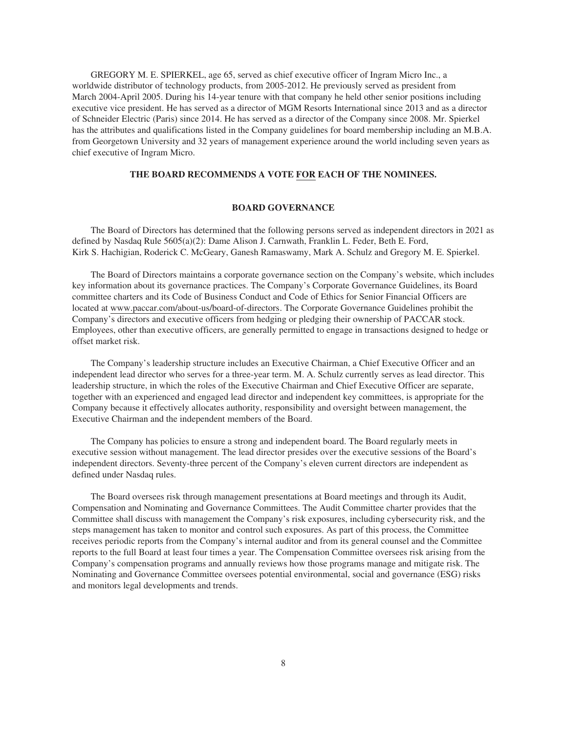GREGORY M. E. SPIERKEL, age 65, served as chief executive officer of Ingram Micro Inc., a worldwide distributor of technology products, from 2005-2012. He previously served as president from March 2004-April 2005. During his 14-year tenure with that company he held other senior positions including executive vice president. He has served as a director of MGM Resorts International since 2013 and as a director of Schneider Electric (Paris) since 2014. He has served as a director of the Company since 2008. Mr. Spierkel has the attributes and qualifications listed in the Company guidelines for board membership including an M.B.A. from Georgetown University and 32 years of management experience around the world including seven years as chief executive of Ingram Micro.

# **THE BOARD RECOMMENDS A VOTE FOR EACH OF THE NOMINEES.**

# **BOARD GOVERNANCE**

<span id="page-10-0"></span>The Board of Directors has determined that the following persons served as independent directors in 2021 as defined by Nasdaq Rule 5605(a)(2): Dame Alison J. Carnwath, Franklin L. Feder, Beth E. Ford, Kirk S. Hachigian, Roderick C. McGeary, Ganesh Ramaswamy, Mark A. Schulz and Gregory M. E. Spierkel.

The Board of Directors maintains a corporate governance section on the Company's website, which includes key information about its governance practices. The Company's Corporate Governance Guidelines, its Board committee charters and its Code of Business Conduct and Code of Ethics for Senior Financial Officers are located at www.paccar.com/about-us/board-of-directors. The Corporate Governance Guidelines prohibit the Company's directors and executive officers from hedging or pledging their ownership of PACCAR stock. Employees, other than executive officers, are generally permitted to engage in transactions designed to hedge or offset market risk.

The Company's leadership structure includes an Executive Chairman, a Chief Executive Officer and an independent lead director who serves for a three-year term. M. A. Schulz currently serves as lead director. This leadership structure, in which the roles of the Executive Chairman and Chief Executive Officer are separate, together with an experienced and engaged lead director and independent key committees, is appropriate for the Company because it effectively allocates authority, responsibility and oversight between management, the Executive Chairman and the independent members of the Board.

The Company has policies to ensure a strong and independent board. The Board regularly meets in executive session without management. The lead director presides over the executive sessions of the Board's independent directors. Seventy-three percent of the Company's eleven current directors are independent as defined under Nasdaq rules.

The Board oversees risk through management presentations at Board meetings and through its Audit, Compensation and Nominating and Governance Committees. The Audit Committee charter provides that the Committee shall discuss with management the Company's risk exposures, including cybersecurity risk, and the steps management has taken to monitor and control such exposures. As part of this process, the Committee receives periodic reports from the Company's internal auditor and from its general counsel and the Committee reports to the full Board at least four times a year. The Compensation Committee oversees risk arising from the Company's compensation programs and annually reviews how those programs manage and mitigate risk. The Nominating and Governance Committee oversees potential environmental, social and governance (ESG) risks and monitors legal developments and trends.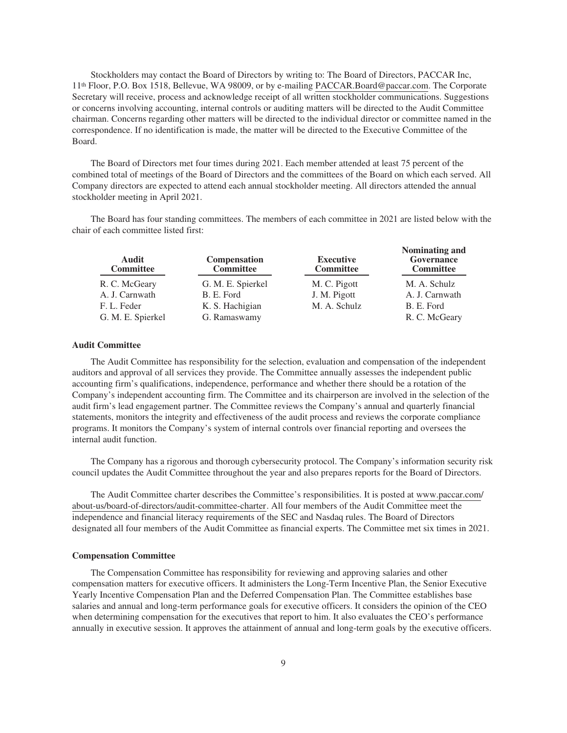Stockholders may contact the Board of Directors by writing to: The Board of Directors, PACCAR Inc, 11th Floor, P.O. Box 1518, Bellevue, WA 98009, or by e-mailing PACCAR.Board@paccar.com. The Corporate Secretary will receive, process and acknowledge receipt of all written stockholder communications. Suggestions or concerns involving accounting, internal controls or auditing matters will be directed to the Audit Committee chairman. Concerns regarding other matters will be directed to the individual director or committee named in the correspondence. If no identification is made, the matter will be directed to the Executive Committee of the Board.

The Board of Directors met four times during 2021. Each member attended at least 75 percent of the combined total of meetings of the Board of Directors and the committees of the Board on which each served. All Company directors are expected to attend each annual stockholder meeting. All directors attended the annual stockholder meeting in April 2021.

The Board has four standing committees. The members of each committee in 2021 are listed below with the chair of each committee listed first:

| Audit<br><b>Committee</b> | <b>Compensation</b><br><b>Committee</b> | <b>Executive</b><br><b>Committee</b> | Nominating and<br>Governance<br><b>Committee</b> |
|---------------------------|-----------------------------------------|--------------------------------------|--------------------------------------------------|
| R. C. McGeary             | G. M. E. Spierkel                       | M. C. Pigott                         | M. A. Schulz                                     |
| A. J. Carnwath            | B. E. Ford                              | J. M. Pigott                         | A. J. Carnwath                                   |
| F. L. Feder               | K. S. Hachigian                         | M. A. Schulz                         | B. E. Ford                                       |
| G. M. E. Spierkel         | G. Ramaswamy                            |                                      | R. C. McGeary                                    |

**Nominating and**

#### **Audit Committee**

The Audit Committee has responsibility for the selection, evaluation and compensation of the independent auditors and approval of all services they provide. The Committee annually assesses the independent public accounting firm's qualifications, independence, performance and whether there should be a rotation of the Company's independent accounting firm. The Committee and its chairperson are involved in the selection of the audit firm's lead engagement partner. The Committee reviews the Company's annual and quarterly financial statements, monitors the integrity and effectiveness of the audit process and reviews the corporate compliance programs. It monitors the Company's system of internal controls over financial reporting and oversees the internal audit function.

The Company has a rigorous and thorough cybersecurity protocol. The Company's information security risk council updates the Audit Committee throughout the year and also prepares reports for the Board of Directors.

The Audit Committee charter describes the Committee's responsibilities. It is posted at www.paccar.com/ about-us/board-of-directors/audit-committee-charter. All four members of the Audit Committee meet the independence and financial literacy requirements of the SEC and Nasdaq rules. The Board of Directors designated all four members of the Audit Committee as financial experts. The Committee met six times in 2021.

#### **Compensation Committee**

The Compensation Committee has responsibility for reviewing and approving salaries and other compensation matters for executive officers. It administers the Long-Term Incentive Plan, the Senior Executive Yearly Incentive Compensation Plan and the Deferred Compensation Plan. The Committee establishes base salaries and annual and long-term performance goals for executive officers. It considers the opinion of the CEO when determining compensation for the executives that report to him. It also evaluates the CEO's performance annually in executive session. It approves the attainment of annual and long-term goals by the executive officers.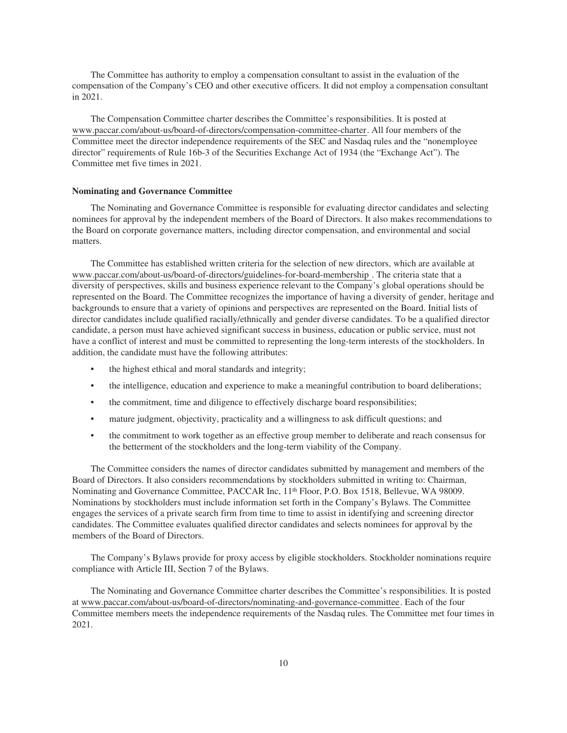The Committee has authority to employ a compensation consultant to assist in the evaluation of the compensation of the Company's CEO and other executive officers. It did not employ a compensation consultant in 2021.

The Compensation Committee charter describes the Committee's responsibilities. It is posted at www.paccar.com/about-us/board-of-directors/compensation-committee-charter. All four members of the Committee meet the director independence requirements of the SEC and Nasdaq rules and the "nonemployee director" requirements of Rule 16b-3 of the Securities Exchange Act of 1934 (the "Exchange Act"). The Committee met five times in 2021.

#### **Nominating and Governance Committee**

The Nominating and Governance Committee is responsible for evaluating director candidates and selecting nominees for approval by the independent members of the Board of Directors. It also makes recommendations to the Board on corporate governance matters, including director compensation, and environmental and social matters.

The Committee has established written criteria for the selection of new directors, which are available at www.paccar.com/about-us/board-of-directors/guidelines-for-board-membership . The criteria state that a diversity of perspectives, skills and business experience relevant to the Company's global operations should be represented on the Board. The Committee recognizes the importance of having a diversity of gender, heritage and backgrounds to ensure that a variety of opinions and perspectives are represented on the Board. Initial lists of director candidates include qualified racially/ethnically and gender diverse candidates. To be a qualified director candidate, a person must have achieved significant success in business, education or public service, must not have a conflict of interest and must be committed to representing the long-term interests of the stockholders. In addition, the candidate must have the following attributes:

- the highest ethical and moral standards and integrity;
- the intelligence, education and experience to make a meaningful contribution to board deliberations;
- the commitment, time and diligence to effectively discharge board responsibilities;
- mature judgment, objectivity, practicality and a willingness to ask difficult questions; and
- the commitment to work together as an effective group member to deliberate and reach consensus for the betterment of the stockholders and the long-term viability of the Company.

The Committee considers the names of director candidates submitted by management and members of the Board of Directors. It also considers recommendations by stockholders submitted in writing to: Chairman, Nominating and Governance Committee, PACCAR Inc, 11<sup>th</sup> Floor, P.O. Box 1518, Bellevue, WA 98009. Nominations by stockholders must include information set forth in the Company's Bylaws. The Committee engages the services of a private search firm from time to time to assist in identifying and screening director candidates. The Committee evaluates qualified director candidates and selects nominees for approval by the members of the Board of Directors.

The Company's Bylaws provide for proxy access by eligible stockholders. Stockholder nominations require compliance with Article III, Section 7 of the Bylaws.

The Nominating and Governance Committee charter describes the Committee's responsibilities. It is posted at www.paccar.com/about-us/board-of-directors/nominating-and-governance-committee. Each of the four Committee members meets the independence requirements of the Nasdaq rules. The Committee met four times in 2021.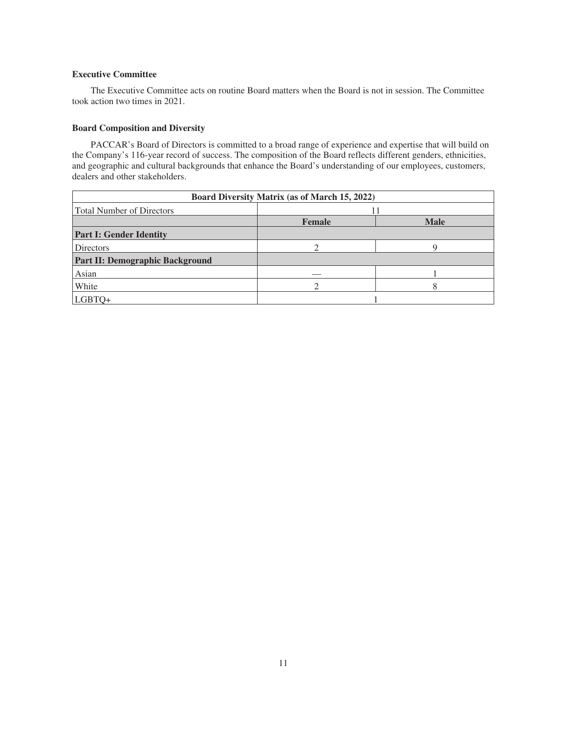# **Executive Committee**

The Executive Committee acts on routine Board matters when the Board is not in session. The Committee took action two times in 2021.

# **Board Composition and Diversity**

PACCAR's Board of Directors is committed to a broad range of experience and expertise that will build on the Company's 116-year record of success. The composition of the Board reflects different genders, ethnicities, and geographic and cultural backgrounds that enhance the Board's understanding of our employees, customers, dealers and other stakeholders.

| <b>Board Diversity Matrix (as of March 15, 2022)</b> |               |             |  |
|------------------------------------------------------|---------------|-------------|--|
| Total Number of Directors                            |               |             |  |
|                                                      | <b>Female</b> | <b>Male</b> |  |
| <b>Part I: Gender Identity</b>                       |               |             |  |
| <b>Directors</b>                                     |               |             |  |
| <b>Part II: Demographic Background</b>               |               |             |  |
| Asian                                                |               |             |  |
| White                                                |               |             |  |
| LGBTQ+                                               |               |             |  |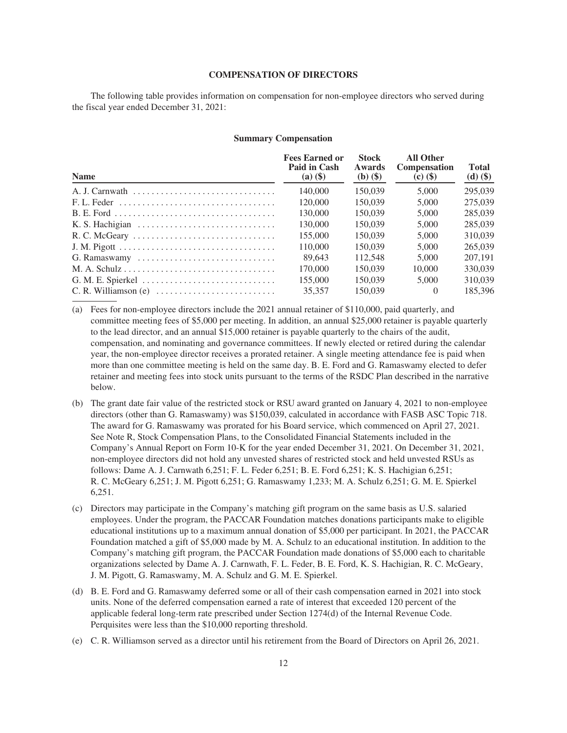#### **COMPENSATION OF DIRECTORS**

<span id="page-14-0"></span>The following table provides information on compensation for non-employee directors who served during the fiscal year ended December 31, 2021:

#### **Summary Compensation**

| <b>Name</b>                                                               | <b>Fees Earned or</b><br>Paid in Cash<br>$(a)$ $(\$)$ | <b>Stock</b><br>Awards<br>$(b)$ $($ \$) | <b>All Other</b><br><b>Compensation</b><br>$\left( \text{c} \right) \left( \text{\$} \right)$ | <b>Total</b><br>$(d)$ $(\$)$ |
|---------------------------------------------------------------------------|-------------------------------------------------------|-----------------------------------------|-----------------------------------------------------------------------------------------------|------------------------------|
|                                                                           | 140,000                                               | 150,039                                 | 5,000                                                                                         | 295,039                      |
|                                                                           | 120,000                                               | 150.039                                 | 5,000                                                                                         | 275,039                      |
|                                                                           | 130,000                                               | 150.039                                 | 5,000                                                                                         | 285,039                      |
|                                                                           | 130,000                                               | 150,039                                 | 5,000                                                                                         | 285,039                      |
| R. C. McGeary                                                             | 155,000                                               | 150,039                                 | 5,000                                                                                         | 310,039                      |
|                                                                           | 110,000                                               | 150,039                                 | 5,000                                                                                         | 265,039                      |
| G. Ramaswamy                                                              | 89.643                                                | 112.548                                 | 5,000                                                                                         | 207,191                      |
|                                                                           | 170,000                                               | 150.039                                 | 10,000                                                                                        | 330,039                      |
|                                                                           | 155,000                                               | 150.039                                 | 5,000                                                                                         | 310,039                      |
| $C. R.$ Williamson (e) $\ldots \ldots \ldots \ldots \ldots \ldots \ldots$ | 35,357                                                | 150,039                                 | $\Omega$                                                                                      | 185.396                      |

- (a) Fees for non-employee directors include the 2021 annual retainer of \$110,000, paid quarterly, and committee meeting fees of \$5,000 per meeting. In addition, an annual \$25,000 retainer is payable quarterly to the lead director, and an annual \$15,000 retainer is payable quarterly to the chairs of the audit, compensation, and nominating and governance committees. If newly elected or retired during the calendar year, the non-employee director receives a prorated retainer. A single meeting attendance fee is paid when more than one committee meeting is held on the same day. B. E. Ford and G. Ramaswamy elected to defer retainer and meeting fees into stock units pursuant to the terms of the RSDC Plan described in the narrative below.
- (b) The grant date fair value of the restricted stock or RSU award granted on January 4, 2021 to non-employee directors (other than G. Ramaswamy) was \$150,039, calculated in accordance with FASB ASC Topic 718. The award for G. Ramaswamy was prorated for his Board service, which commenced on April 27, 2021. See Note R, Stock Compensation Plans, to the Consolidated Financial Statements included in the Company's Annual Report on Form 10-K for the year ended December 31, 2021. On December 31, 2021, non-employee directors did not hold any unvested shares of restricted stock and held unvested RSUs as follows: Dame A. J. Carnwath 6,251; F. L. Feder 6,251; B. E. Ford 6,251; K. S. Hachigian 6,251; R. C. McGeary 6,251; J. M. Pigott 6,251; G. Ramaswamy 1,233; M. A. Schulz 6,251; G. M. E. Spierkel 6,251.
- (c) Directors may participate in the Company's matching gift program on the same basis as U.S. salaried employees. Under the program, the PACCAR Foundation matches donations participants make to eligible educational institutions up to a maximum annual donation of \$5,000 per participant. In 2021, the PACCAR Foundation matched a gift of \$5,000 made by M. A. Schulz to an educational institution. In addition to the Company's matching gift program, the PACCAR Foundation made donations of \$5,000 each to charitable organizations selected by Dame A. J. Carnwath, F. L. Feder, B. E. Ford, K. S. Hachigian, R. C. McGeary, J. M. Pigott, G. Ramaswamy, M. A. Schulz and G. M. E. Spierkel.
- (d) B. E. Ford and G. Ramaswamy deferred some or all of their cash compensation earned in 2021 into stock units. None of the deferred compensation earned a rate of interest that exceeded 120 percent of the applicable federal long-term rate prescribed under Section 1274(d) of the Internal Revenue Code. Perquisites were less than the \$10,000 reporting threshold.
- (e) C. R. Williamson served as a director until his retirement from the Board of Directors on April 26, 2021.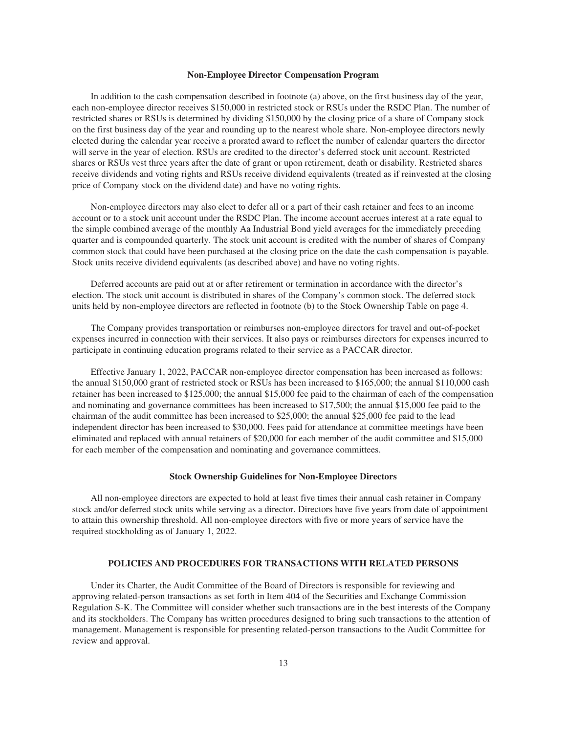#### **Non-Employee Director Compensation Program**

In addition to the cash compensation described in footnote (a) above, on the first business day of the year, each non-employee director receives \$150,000 in restricted stock or RSUs under the RSDC Plan. The number of restricted shares or RSUs is determined by dividing \$150,000 by the closing price of a share of Company stock on the first business day of the year and rounding up to the nearest whole share. Non-employee directors newly elected during the calendar year receive a prorated award to reflect the number of calendar quarters the director will serve in the year of election. RSUs are credited to the director's deferred stock unit account. Restricted shares or RSUs vest three years after the date of grant or upon retirement, death or disability. Restricted shares receive dividends and voting rights and RSUs receive dividend equivalents (treated as if reinvested at the closing price of Company stock on the dividend date) and have no voting rights.

Non-employee directors may also elect to defer all or a part of their cash retainer and fees to an income account or to a stock unit account under the RSDC Plan. The income account accrues interest at a rate equal to the simple combined average of the monthly Aa Industrial Bond yield averages for the immediately preceding quarter and is compounded quarterly. The stock unit account is credited with the number of shares of Company common stock that could have been purchased at the closing price on the date the cash compensation is payable. Stock units receive dividend equivalents (as described above) and have no voting rights.

Deferred accounts are paid out at or after retirement or termination in accordance with the director's election. The stock unit account is distributed in shares of the Company's common stock. The deferred stock units held by non-employee directors are reflected in footnote (b) to the Stock Ownership Table on page 4.

The Company provides transportation or reimburses non-employee directors for travel and out-of-pocket expenses incurred in connection with their services. It also pays or reimburses directors for expenses incurred to participate in continuing education programs related to their service as a PACCAR director.

Effective January 1, 2022, PACCAR non-employee director compensation has been increased as follows: the annual \$150,000 grant of restricted stock or RSUs has been increased to \$165,000; the annual \$110,000 cash retainer has been increased to \$125,000; the annual \$15,000 fee paid to the chairman of each of the compensation and nominating and governance committees has been increased to \$17,500; the annual \$15,000 fee paid to the chairman of the audit committee has been increased to \$25,000; the annual \$25,000 fee paid to the lead independent director has been increased to \$30,000. Fees paid for attendance at committee meetings have been eliminated and replaced with annual retainers of \$20,000 for each member of the audit committee and \$15,000 for each member of the compensation and nominating and governance committees.

# **Stock Ownership Guidelines for Non-Employee Directors**

All non-employee directors are expected to hold at least five times their annual cash retainer in Company stock and/or deferred stock units while serving as a director. Directors have five years from date of appointment to attain this ownership threshold. All non-employee directors with five or more years of service have the required stockholding as of January 1, 2022.

#### **POLICIES AND PROCEDURES FOR TRANSACTIONS WITH RELATED PERSONS**

<span id="page-15-0"></span>Under its Charter, the Audit Committee of the Board of Directors is responsible for reviewing and approving related-person transactions as set forth in Item 404 of the Securities and Exchange Commission Regulation S-K. The Committee will consider whether such transactions are in the best interests of the Company and its stockholders. The Company has written procedures designed to bring such transactions to the attention of management. Management is responsible for presenting related-person transactions to the Audit Committee for review and approval.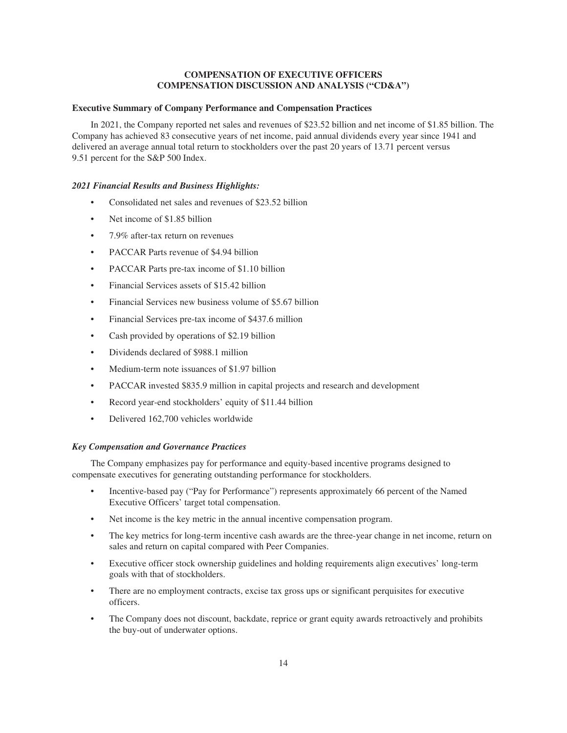# **COMPENSATION OF EXECUTIVE OFFICERS COMPENSATION DISCUSSION AND ANALYSIS ("CD&A")**

# <span id="page-16-1"></span><span id="page-16-0"></span>**Executive Summary of Company Performance and Compensation Practices**

In 2021, the Company reported net sales and revenues of \$23.52 billion and net income of \$1.85 billion. The Company has achieved 83 consecutive years of net income, paid annual dividends every year since 1941 and delivered an average annual total return to stockholders over the past 20 years of 13.71 percent versus 9.51 percent for the S&P 500 Index.

#### *2021 Financial Results and Business Highlights:*

- Consolidated net sales and revenues of \$23.52 billion
- Net income of \$1.85 billion
- 7.9% after-tax return on revenues
- PACCAR Parts revenue of \$4.94 billion
- PACCAR Parts pre-tax income of \$1.10 billion
- Financial Services assets of \$15.42 billion
- Financial Services new business volume of \$5.67 billion
- Financial Services pre-tax income of \$437.6 million
- Cash provided by operations of \$2.19 billion
- Dividends declared of \$988.1 million
- Medium-term note issuances of \$1.97 billion
- PACCAR invested \$835.9 million in capital projects and research and development
- Record year-end stockholders' equity of \$11.44 billion
- Delivered 162,700 vehicles worldwide

#### *Key Compensation and Governance Practices*

The Company emphasizes pay for performance and equity-based incentive programs designed to compensate executives for generating outstanding performance for stockholders.

- Incentive-based pay ("Pay for Performance") represents approximately 66 percent of the Named Executive Officers' target total compensation.
- Net income is the key metric in the annual incentive compensation program.
- The key metrics for long-term incentive cash awards are the three-year change in net income, return on sales and return on capital compared with Peer Companies.
- Executive officer stock ownership guidelines and holding requirements align executives' long-term goals with that of stockholders.
- There are no employment contracts, excise tax gross ups or significant perquisites for executive officers.
- The Company does not discount, backdate, reprice or grant equity awards retroactively and prohibits the buy-out of underwater options.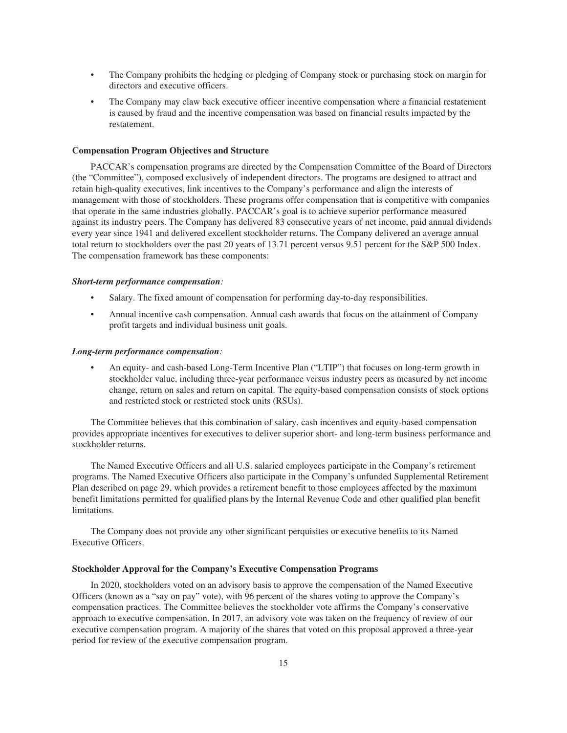- The Company prohibits the hedging or pledging of Company stock or purchasing stock on margin for directors and executive officers.
- The Company may claw back executive officer incentive compensation where a financial restatement is caused by fraud and the incentive compensation was based on financial results impacted by the restatement.

# **Compensation Program Objectives and Structure**

PACCAR's compensation programs are directed by the Compensation Committee of the Board of Directors (the "Committee"), composed exclusively of independent directors. The programs are designed to attract and retain high-quality executives, link incentives to the Company's performance and align the interests of management with those of stockholders. These programs offer compensation that is competitive with companies that operate in the same industries globally. PACCAR's goal is to achieve superior performance measured against its industry peers. The Company has delivered 83 consecutive years of net income, paid annual dividends every year since 1941 and delivered excellent stockholder returns. The Company delivered an average annual total return to stockholders over the past 20 years of 13.71 percent versus 9.51 percent for the S&P 500 Index. The compensation framework has these components:

#### *Short-term performance compensation:*

- Salary. The fixed amount of compensation for performing day-to-day responsibilities.
- Annual incentive cash compensation. Annual cash awards that focus on the attainment of Company profit targets and individual business unit goals.

#### *Long-term performance compensation:*

• An equity- and cash-based Long-Term Incentive Plan ("LTIP") that focuses on long-term growth in stockholder value, including three-year performance versus industry peers as measured by net income change, return on sales and return on capital. The equity-based compensation consists of stock options and restricted stock or restricted stock units (RSUs).

The Committee believes that this combination of salary, cash incentives and equity-based compensation provides appropriate incentives for executives to deliver superior short- and long-term business performance and stockholder returns.

The Named Executive Officers and all U.S. salaried employees participate in the Company's retirement programs. The Named Executive Officers also participate in the Company's unfunded Supplemental Retirement Plan described on page 29, which provides a retirement benefit to those employees affected by the maximum benefit limitations permitted for qualified plans by the Internal Revenue Code and other qualified plan benefit limitations.

The Company does not provide any other significant perquisites or executive benefits to its Named Executive Officers.

#### **Stockholder Approval for the Company's Executive Compensation Programs**

In 2020, stockholders voted on an advisory basis to approve the compensation of the Named Executive Officers (known as a "say on pay" vote), with 96 percent of the shares voting to approve the Company's compensation practices. The Committee believes the stockholder vote affirms the Company's conservative approach to executive compensation. In 2017, an advisory vote was taken on the frequency of review of our executive compensation program. A majority of the shares that voted on this proposal approved a three-year period for review of the executive compensation program.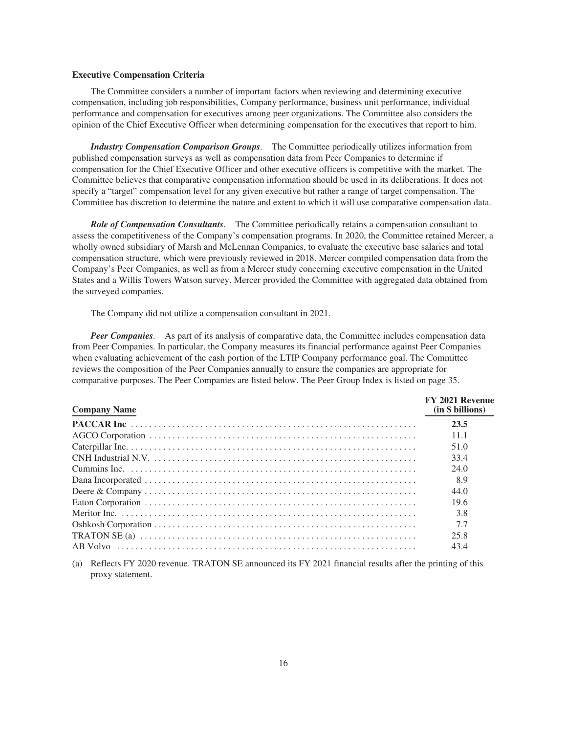#### **Executive Compensation Criteria**

The Committee considers a number of important factors when reviewing and determining executive compensation, including job responsibilities, Company performance, business unit performance, individual performance and compensation for executives among peer organizations. The Committee also considers the opinion of the Chief Executive Officer when determining compensation for the executives that report to him.

*Industry Compensation Comparison Groups.* The Committee periodically utilizes information from published compensation surveys as well as compensation data from Peer Companies to determine if compensation for the Chief Executive Officer and other executive officers is competitive with the market. The Committee believes that comparative compensation information should be used in its deliberations. It does not specify a "target" compensation level for any given executive but rather a range of target compensation. The Committee has discretion to determine the nature and extent to which it will use comparative compensation data.

*Role of Compensation Consultants.* The Committee periodically retains a compensation consultant to assess the competitiveness of the Company's compensation programs. In 2020, the Committee retained Mercer, a wholly owned subsidiary of Marsh and McLennan Companies, to evaluate the executive base salaries and total compensation structure, which were previously reviewed in 2018. Mercer compiled compensation data from the Company's Peer Companies, as well as from a Mercer study concerning executive compensation in the United States and a Willis Towers Watson survey. Mercer provided the Committee with aggregated data obtained from the surveyed companies.

The Company did not utilize a compensation consultant in 2021.

*Peer Companies.* As part of its analysis of comparative data, the Committee includes compensation data from Peer Companies. In particular, the Company measures its financial performance against Peer Companies when evaluating achievement of the cash portion of the LTIP Company performance goal. The Committee reviews the composition of the Peer Companies annually to ensure the companies are appropriate for comparative purposes. The Peer Companies are listed below. The Peer Group Index is listed on page 35.

| <b>Company Name</b>                                                                                              | FY 2021 Revenue<br>(in \$ billions) |
|------------------------------------------------------------------------------------------------------------------|-------------------------------------|
|                                                                                                                  | 23.5                                |
|                                                                                                                  | 11.1                                |
|                                                                                                                  | 51.0                                |
|                                                                                                                  | 33.4                                |
|                                                                                                                  | 24.0                                |
|                                                                                                                  | 8.9                                 |
|                                                                                                                  | 44.0                                |
|                                                                                                                  | 19.6                                |
|                                                                                                                  | 3.8                                 |
|                                                                                                                  | 7.7                                 |
| TRATON SE (a) $\ldots$ $\ldots$ $\ldots$ $\ldots$ $\ldots$ $\ldots$ $\ldots$ $\ldots$ $\ldots$ $\ldots$ $\ldots$ | 25.8                                |
|                                                                                                                  | 43.4                                |

(a) Reflects FY 2020 revenue. TRATON SE announced its FY 2021 financial results after the printing of this proxy statement.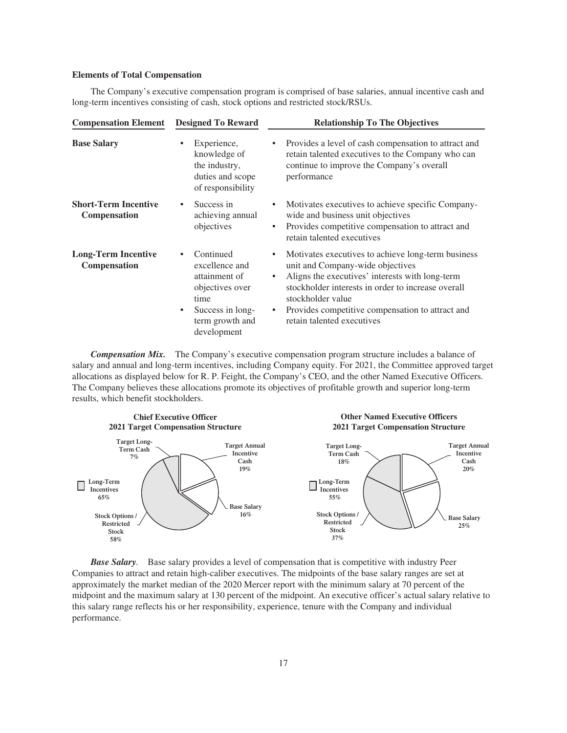#### **Elements of Total Compensation**

The Company's executive compensation program is comprised of base salaries, annual incentive cash and long-term incentives consisting of cash, stock options and restricted stock/RSUs.

| <b>Compensation Element</b>                        | <b>Designed To Reward</b>                                                                                                          | <b>Relationship To The Objectives</b>                                                                                                                                                                                                                                                                                            |  |  |
|----------------------------------------------------|------------------------------------------------------------------------------------------------------------------------------------|----------------------------------------------------------------------------------------------------------------------------------------------------------------------------------------------------------------------------------------------------------------------------------------------------------------------------------|--|--|
| <b>Base Salary</b>                                 | Experience,<br>knowledge of<br>the industry,<br>duties and scope<br>of responsibility                                              | Provides a level of cash compensation to attract and<br>$\bullet$<br>retain talented executives to the Company who can<br>continue to improve the Company's overall<br>performance                                                                                                                                               |  |  |
| <b>Short-Term Incentive</b><br><b>Compensation</b> | Success in<br>achieving annual<br>objectives                                                                                       | Motivates executives to achieve specific Company-<br>wide and business unit objectives<br>Provides competitive compensation to attract and<br>$\bullet$<br>retain talented executives                                                                                                                                            |  |  |
| <b>Long-Term Incentive</b><br>Compensation         | Continued<br>excellence and<br>attainment of<br>objectives over<br>time<br>Success in long-<br>٠<br>term growth and<br>development | Motivates executives to achieve long-term business<br>$\bullet$<br>unit and Company-wide objectives<br>Aligns the executives' interests with long-term<br>$\bullet$<br>stockholder interests in order to increase overall<br>stockholder value<br>Provides competitive compensation to attract and<br>retain talented executives |  |  |

*Compensation Mix.* The Company's executive compensation program structure includes a balance of salary and annual and long-term incentives, including Company equity. For 2021, the Committee approved target allocations as displayed below for R. P. Feight, the Company's CEO, and the other Named Executive Officers. The Company believes these allocations promote its objectives of profitable growth and superior long-term results, which benefit stockholders.



*Base Salary*. Base salary provides a level of compensation that is competitive with industry Peer Companies to attract and retain high-caliber executives. The midpoints of the base salary ranges are set at approximately the market median of the 2020 Mercer report with the minimum salary at 70 percent of the midpoint and the maximum salary at 130 percent of the midpoint. An executive officer's actual salary relative to this salary range reflects his or her responsibility, experience, tenure with the Company and individual performance.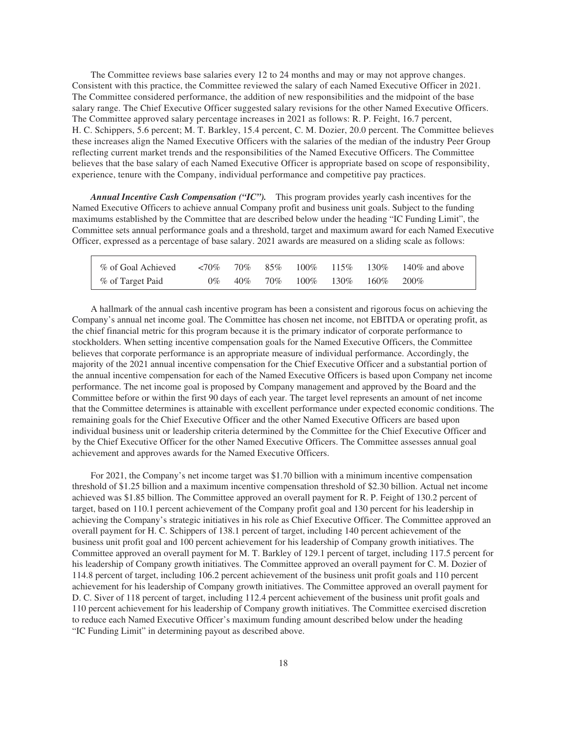The Committee reviews base salaries every 12 to 24 months and may or may not approve changes. Consistent with this practice, the Committee reviewed the salary of each Named Executive Officer in 2021. The Committee considered performance, the addition of new responsibilities and the midpoint of the base salary range. The Chief Executive Officer suggested salary revisions for the other Named Executive Officers. The Committee approved salary percentage increases in 2021 as follows: R. P. Feight, 16.7 percent, H. C. Schippers, 5.6 percent; M. T. Barkley, 15.4 percent, C. M. Dozier, 20.0 percent. The Committee believes these increases align the Named Executive Officers with the salaries of the median of the industry Peer Group reflecting current market trends and the responsibilities of the Named Executive Officers. The Committee believes that the base salary of each Named Executive Officer is appropriate based on scope of responsibility, experience, tenure with the Company, individual performance and competitive pay practices.

*Annual Incentive Cash Compensation ("IC").* This program provides yearly cash incentives for the Named Executive Officers to achieve annual Company profit and business unit goals. Subject to the funding maximums established by the Committee that are described below under the heading "IC Funding Limit", the Committee sets annual performance goals and a threshold, target and maximum award for each Named Executive Officer, expressed as a percentage of base salary. 2021 awards are measured on a sliding scale as follows:

| % of Goal Achieved $\leq 70\%$ 70% 85% 100% 115% 130% 140% and above |  |  |                                         |  |
|----------------------------------------------------------------------|--|--|-----------------------------------------|--|
| % of Target Paid                                                     |  |  | $0\%$ 40\% 70\% 100\% 130\% 160\% 200\% |  |

A hallmark of the annual cash incentive program has been a consistent and rigorous focus on achieving the Company's annual net income goal. The Committee has chosen net income, not EBITDA or operating profit, as the chief financial metric for this program because it is the primary indicator of corporate performance to stockholders. When setting incentive compensation goals for the Named Executive Officers, the Committee believes that corporate performance is an appropriate measure of individual performance. Accordingly, the majority of the 2021 annual incentive compensation for the Chief Executive Officer and a substantial portion of the annual incentive compensation for each of the Named Executive Officers is based upon Company net income performance. The net income goal is proposed by Company management and approved by the Board and the Committee before or within the first 90 days of each year. The target level represents an amount of net income that the Committee determines is attainable with excellent performance under expected economic conditions. The remaining goals for the Chief Executive Officer and the other Named Executive Officers are based upon individual business unit or leadership criteria determined by the Committee for the Chief Executive Officer and by the Chief Executive Officer for the other Named Executive Officers. The Committee assesses annual goal achievement and approves awards for the Named Executive Officers.

For 2021, the Company's net income target was \$1.70 billion with a minimum incentive compensation threshold of \$1.25 billion and a maximum incentive compensation threshold of \$2.30 billion. Actual net income achieved was \$1.85 billion. The Committee approved an overall payment for R. P. Feight of 130.2 percent of target, based on 110.1 percent achievement of the Company profit goal and 130 percent for his leadership in achieving the Company's strategic initiatives in his role as Chief Executive Officer. The Committee approved an overall payment for H. C. Schippers of 138.1 percent of target, including 140 percent achievement of the business unit profit goal and 100 percent achievement for his leadership of Company growth initiatives. The Committee approved an overall payment for M. T. Barkley of 129.1 percent of target, including 117.5 percent for his leadership of Company growth initiatives. The Committee approved an overall payment for C. M. Dozier of 114.8 percent of target, including 106.2 percent achievement of the business unit profit goals and 110 percent achievement for his leadership of Company growth initiatives. The Committee approved an overall payment for D. C. Siver of 118 percent of target, including 112.4 percent achievement of the business unit profit goals and 110 percent achievement for his leadership of Company growth initiatives. The Committee exercised discretion to reduce each Named Executive Officer's maximum funding amount described below under the heading "IC Funding Limit" in determining payout as described above.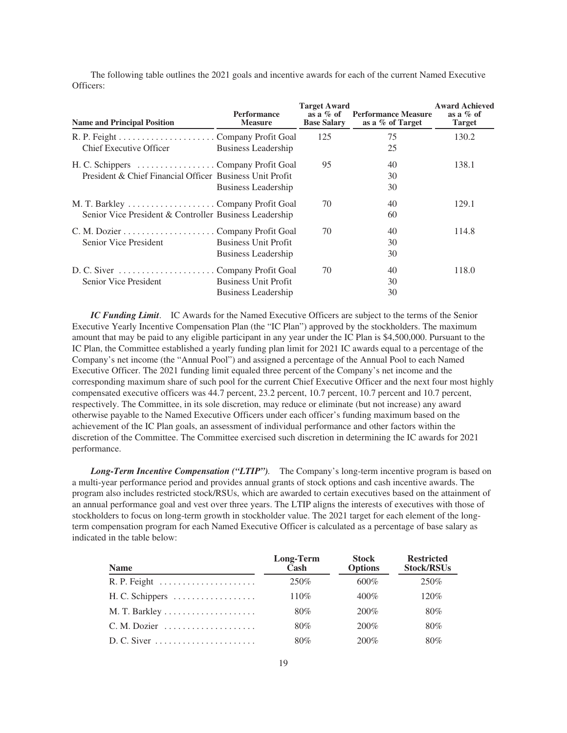The following table outlines the 2021 goals and incentive awards for each of the current Named Executive Officers:

| <b>Name and Principal Position</b>                                                              | <b>Performance</b><br><b>Measure</b>               | <b>Target Award</b><br>as a $\%$ of<br><b>Base Salary</b> | <b>Performance Measure</b><br>as a % of Target | <b>Award Achieved</b><br>as a $%$ of<br><b>Target</b> |
|-------------------------------------------------------------------------------------------------|----------------------------------------------------|-----------------------------------------------------------|------------------------------------------------|-------------------------------------------------------|
| Chief Executive Officer                                                                         | <b>Business Leadership</b>                         | 125                                                       | 75<br>25                                       | 130.2                                                 |
| H. C. Schippers Company Profit Goal<br>President & Chief Financial Officer Business Unit Profit | Business Leadership                                | 95                                                        | 40<br>30<br>30                                 | 138.1                                                 |
| Senior Vice President & Controller Business Leadership                                          |                                                    | 70                                                        | 40<br>60                                       | 129.1                                                 |
| Senior Vice President                                                                           | <b>Business Unit Profit</b><br>Business Leadership | 70                                                        | 40<br>30<br>30                                 | 114.8                                                 |
| Senior Vice President                                                                           | <b>Business Unit Profit</b><br>Business Leadership | 70                                                        | 40<br>30<br>30                                 | 118.0                                                 |

*IC Funding Limit*. IC Awards for the Named Executive Officers are subject to the terms of the Senior Executive Yearly Incentive Compensation Plan (the "IC Plan") approved by the stockholders. The maximum amount that may be paid to any eligible participant in any year under the IC Plan is \$4,500,000. Pursuant to the IC Plan, the Committee established a yearly funding plan limit for 2021 IC awards equal to a percentage of the Company's net income (the "Annual Pool") and assigned a percentage of the Annual Pool to each Named Executive Officer. The 2021 funding limit equaled three percent of the Company's net income and the corresponding maximum share of such pool for the current Chief Executive Officer and the next four most highly compensated executive officers was 44.7 percent, 23.2 percent, 10.7 percent, 10.7 percent and 10.7 percent, respectively. The Committee, in its sole discretion, may reduce or eliminate (but not increase) any award otherwise payable to the Named Executive Officers under each officer's funding maximum based on the achievement of the IC Plan goals, an assessment of individual performance and other factors within the discretion of the Committee. The Committee exercised such discretion in determining the IC awards for 2021 performance.

*Long-Term Incentive Compensation ("LTIP").* The Company's long-term incentive program is based on a multi-year performance period and provides annual grants of stock options and cash incentive awards. The program also includes restricted stock/RSUs, which are awarded to certain executives based on the attainment of an annual performance goal and vest over three years. The LTIP aligns the interests of executives with those of stockholders to focus on long-term growth in stockholder value. The 2021 target for each element of the longterm compensation program for each Named Executive Officer is calculated as a percentage of base salary as indicated in the table below:

| <b>Name</b>                                                   | Long-Term<br>Cash | <b>Stock</b><br><b>Options</b> | <b>Restricted</b><br><b>Stock/RSUs</b> |
|---------------------------------------------------------------|-------------------|--------------------------------|----------------------------------------|
|                                                               | 250\%             | $600\%$                        | 250%                                   |
|                                                               | 110%              | $400\%$                        | 120%                                   |
|                                                               | 80%               | $200\%$                        | 80%                                    |
| $C. M. Dozier \dots \dots \dots \dots \dots \dots \dots$      | 80%               | $200\%$                        | 80%                                    |
| $D. C. Siver \dots \dots \dots \dots \dots \dots \dots \dots$ | 80%               | $200\%$                        | 80%                                    |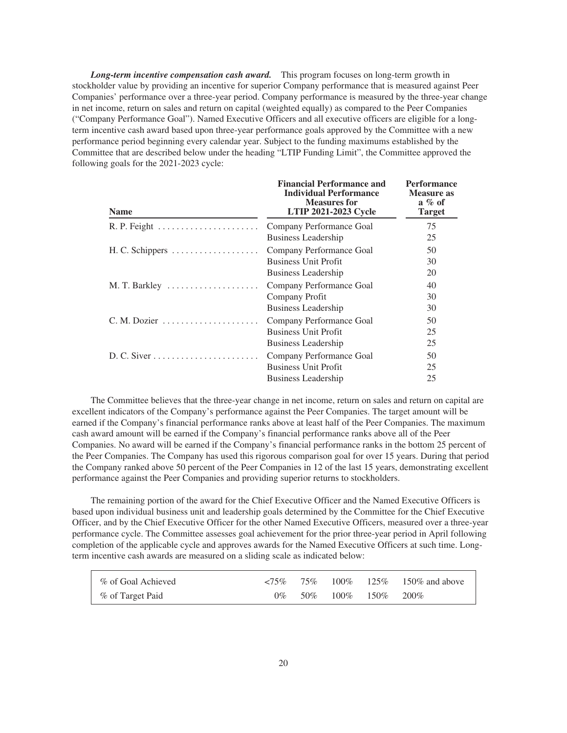*Long-term incentive compensation cash award.* This program focuses on long-term growth in stockholder value by providing an incentive for superior Company performance that is measured against Peer Companies' performance over a three-year period. Company performance is measured by the three-year change in net income, return on sales and return on capital (weighted equally) as compared to the Peer Companies ("Company Performance Goal"). Named Executive Officers and all executive officers are eligible for a longterm incentive cash award based upon three-year performance goals approved by the Committee with a new performance period beginning every calendar year. Subject to the funding maximums established by the Committee that are described below under the heading "LTIP Funding Limit", the Committee approved the following goals for the 2021-2023 cycle:

**Financial Performance and**

**Performance**

| <b>Name</b>                                           | FINANCIAL FUNDIMANCE AND<br><b>Individual Performance</b><br><b>Measures for</b><br><b>LTIP 2021-2023 Cycle</b> | T et tot mance<br><b>Measure as</b><br>$a \n% of$<br><b>Target</b> |
|-------------------------------------------------------|-----------------------------------------------------------------------------------------------------------------|--------------------------------------------------------------------|
|                                                       | Company Performance Goal<br><b>Business Leadership</b>                                                          | 75<br>25                                                           |
| H. C. Schippers $\dots \dots \dots \dots \dots \dots$ | Company Performance Goal<br><b>Business Unit Profit</b><br><b>Business Leadership</b>                           | 50<br>30<br>20                                                     |
|                                                       | Company Performance Goal<br>Company Profit<br>Business Leadership                                               | 40<br>30<br>30                                                     |
| C. M. Dozier                                          | Company Performance Goal<br><b>Business Unit Profit</b><br>Business Leadership                                  | 50<br>25<br>25                                                     |
|                                                       | Company Performance Goal<br><b>Business Unit Profit</b><br>Business Leadership                                  | 50<br>25<br>25                                                     |

The Committee believes that the three-year change in net income, return on sales and return on capital are excellent indicators of the Company's performance against the Peer Companies. The target amount will be earned if the Company's financial performance ranks above at least half of the Peer Companies. The maximum cash award amount will be earned if the Company's financial performance ranks above all of the Peer Companies. No award will be earned if the Company's financial performance ranks in the bottom 25 percent of the Peer Companies. The Company has used this rigorous comparison goal for over 15 years. During that period the Company ranked above 50 percent of the Peer Companies in 12 of the last 15 years, demonstrating excellent performance against the Peer Companies and providing superior returns to stockholders.

The remaining portion of the award for the Chief Executive Officer and the Named Executive Officers is based upon individual business unit and leadership goals determined by the Committee for the Chief Executive Officer, and by the Chief Executive Officer for the other Named Executive Officers, measured over a three-year performance cycle. The Committee assesses goal achievement for the prior three-year period in April following completion of the applicable cycle and approves awards for the Named Executive Officers at such time. Longterm incentive cash awards are measured on a sliding scale as indicated below:

| % of Goal Achieved |       |  |                        | $\langle 75\% \quad 75\% \quad 100\% \quad 125\% \quad 150\%$ and above |
|--------------------|-------|--|------------------------|-------------------------------------------------------------------------|
| % of Target Paid   | $0\%$ |  | 50\% 100\% 150\% 200\% |                                                                         |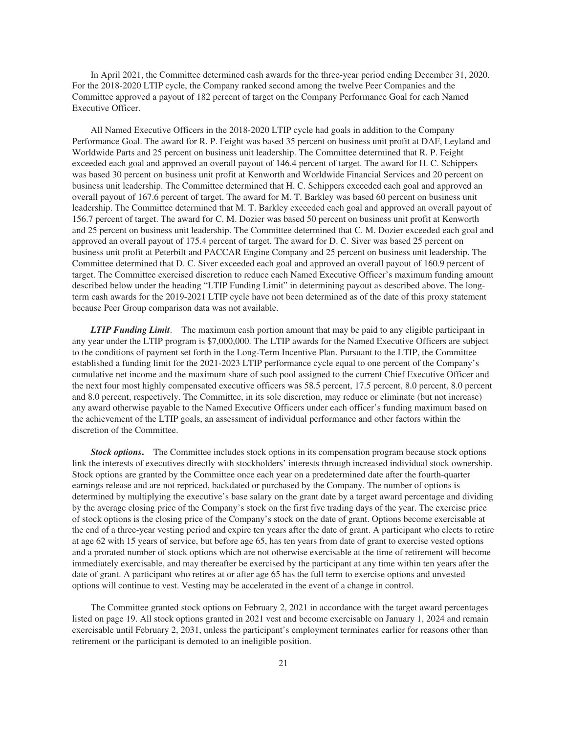In April 2021, the Committee determined cash awards for the three-year period ending December 31, 2020. For the 2018-2020 LTIP cycle, the Company ranked second among the twelve Peer Companies and the Committee approved a payout of 182 percent of target on the Company Performance Goal for each Named Executive Officer.

All Named Executive Officers in the 2018-2020 LTIP cycle had goals in addition to the Company Performance Goal. The award for R. P. Feight was based 35 percent on business unit profit at DAF, Leyland and Worldwide Parts and 25 percent on business unit leadership. The Committee determined that R. P. Feight exceeded each goal and approved an overall payout of 146.4 percent of target. The award for H. C. Schippers was based 30 percent on business unit profit at Kenworth and Worldwide Financial Services and 20 percent on business unit leadership. The Committee determined that H. C. Schippers exceeded each goal and approved an overall payout of 167.6 percent of target. The award for M. T. Barkley was based 60 percent on business unit leadership. The Committee determined that M. T. Barkley exceeded each goal and approved an overall payout of 156.7 percent of target. The award for C. M. Dozier was based 50 percent on business unit profit at Kenworth and 25 percent on business unit leadership. The Committee determined that C. M. Dozier exceeded each goal and approved an overall payout of 175.4 percent of target. The award for D. C. Siver was based 25 percent on business unit profit at Peterbilt and PACCAR Engine Company and 25 percent on business unit leadership. The Committee determined that D. C. Siver exceeded each goal and approved an overall payout of 160.9 percent of target. The Committee exercised discretion to reduce each Named Executive Officer's maximum funding amount described below under the heading "LTIP Funding Limit" in determining payout as described above. The longterm cash awards for the 2019-2021 LTIP cycle have not been determined as of the date of this proxy statement because Peer Group comparison data was not available.

*LTIP Funding Limit*. The maximum cash portion amount that may be paid to any eligible participant in any year under the LTIP program is \$7,000,000. The LTIP awards for the Named Executive Officers are subject to the conditions of payment set forth in the Long-Term Incentive Plan. Pursuant to the LTIP, the Committee established a funding limit for the 2021-2023 LTIP performance cycle equal to one percent of the Company's cumulative net income and the maximum share of such pool assigned to the current Chief Executive Officer and the next four most highly compensated executive officers was 58.5 percent, 17.5 percent, 8.0 percent, 8.0 percent and 8.0 percent, respectively. The Committee, in its sole discretion, may reduce or eliminate (but not increase) any award otherwise payable to the Named Executive Officers under each officer's funding maximum based on the achievement of the LTIP goals, an assessment of individual performance and other factors within the discretion of the Committee.

*Stock options***.** The Committee includes stock options in its compensation program because stock options link the interests of executives directly with stockholders' interests through increased individual stock ownership. Stock options are granted by the Committee once each year on a predetermined date after the fourth-quarter earnings release and are not repriced, backdated or purchased by the Company. The number of options is determined by multiplying the executive's base salary on the grant date by a target award percentage and dividing by the average closing price of the Company's stock on the first five trading days of the year. The exercise price of stock options is the closing price of the Company's stock on the date of grant. Options become exercisable at the end of a three-year vesting period and expire ten years after the date of grant. A participant who elects to retire at age 62 with 15 years of service, but before age 65, has ten years from date of grant to exercise vested options and a prorated number of stock options which are not otherwise exercisable at the time of retirement will become immediately exercisable, and may thereafter be exercised by the participant at any time within ten years after the date of grant. A participant who retires at or after age 65 has the full term to exercise options and unvested options will continue to vest. Vesting may be accelerated in the event of a change in control.

The Committee granted stock options on February 2, 2021 in accordance with the target award percentages listed on page 19. All stock options granted in 2021 vest and become exercisable on January 1, 2024 and remain exercisable until February 2, 2031, unless the participant's employment terminates earlier for reasons other than retirement or the participant is demoted to an ineligible position.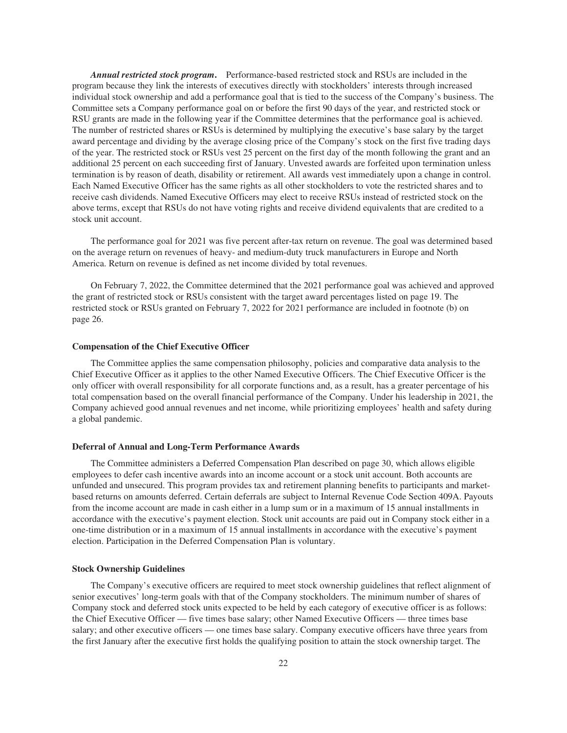*Annual restricted stock program***.** Performance-based restricted stock and RSUs are included in the program because they link the interests of executives directly with stockholders' interests through increased individual stock ownership and add a performance goal that is tied to the success of the Company's business. The Committee sets a Company performance goal on or before the first 90 days of the year, and restricted stock or RSU grants are made in the following year if the Committee determines that the performance goal is achieved. The number of restricted shares or RSUs is determined by multiplying the executive's base salary by the target award percentage and dividing by the average closing price of the Company's stock on the first five trading days of the year. The restricted stock or RSUs vest 25 percent on the first day of the month following the grant and an additional 25 percent on each succeeding first of January. Unvested awards are forfeited upon termination unless termination is by reason of death, disability or retirement. All awards vest immediately upon a change in control. Each Named Executive Officer has the same rights as all other stockholders to vote the restricted shares and to receive cash dividends. Named Executive Officers may elect to receive RSUs instead of restricted stock on the above terms, except that RSUs do not have voting rights and receive dividend equivalents that are credited to a stock unit account.

The performance goal for 2021 was five percent after-tax return on revenue. The goal was determined based on the average return on revenues of heavy- and medium-duty truck manufacturers in Europe and North America. Return on revenue is defined as net income divided by total revenues.

On February 7, 2022, the Committee determined that the 2021 performance goal was achieved and approved the grant of restricted stock or RSUs consistent with the target award percentages listed on page 19. The restricted stock or RSUs granted on February 7, 2022 for 2021 performance are included in footnote (b) on page 26.

#### **Compensation of the Chief Executive Officer**

The Committee applies the same compensation philosophy, policies and comparative data analysis to the Chief Executive Officer as it applies to the other Named Executive Officers. The Chief Executive Officer is the only officer with overall responsibility for all corporate functions and, as a result, has a greater percentage of his total compensation based on the overall financial performance of the Company. Under his leadership in 2021, the Company achieved good annual revenues and net income, while prioritizing employees' health and safety during a global pandemic.

#### **Deferral of Annual and Long-Term Performance Awards**

The Committee administers a Deferred Compensation Plan described on page 30, which allows eligible employees to defer cash incentive awards into an income account or a stock unit account. Both accounts are unfunded and unsecured. This program provides tax and retirement planning benefits to participants and marketbased returns on amounts deferred. Certain deferrals are subject to Internal Revenue Code Section 409A. Payouts from the income account are made in cash either in a lump sum or in a maximum of 15 annual installments in accordance with the executive's payment election. Stock unit accounts are paid out in Company stock either in a one-time distribution or in a maximum of 15 annual installments in accordance with the executive's payment election. Participation in the Deferred Compensation Plan is voluntary.

#### **Stock Ownership Guidelines**

The Company's executive officers are required to meet stock ownership guidelines that reflect alignment of senior executives' long-term goals with that of the Company stockholders. The minimum number of shares of Company stock and deferred stock units expected to be held by each category of executive officer is as follows: the Chief Executive Officer — five times base salary; other Named Executive Officers — three times base salary; and other executive officers — one times base salary. Company executive officers have three years from the first January after the executive first holds the qualifying position to attain the stock ownership target. The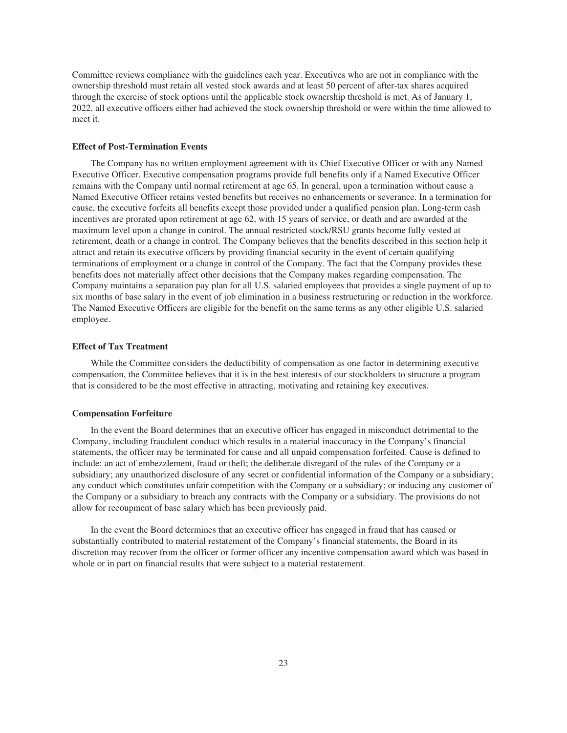Committee reviews compliance with the guidelines each year. Executives who are not in compliance with the ownership threshold must retain all vested stock awards and at least 50 percent of after-tax shares acquired through the exercise of stock options until the applicable stock ownership threshold is met. As of January 1, 2022, all executive officers either had achieved the stock ownership threshold or were within the time allowed to meet it.

# **Effect of Post-Termination Events**

The Company has no written employment agreement with its Chief Executive Officer or with any Named Executive Officer. Executive compensation programs provide full benefits only if a Named Executive Officer remains with the Company until normal retirement at age 65. In general, upon a termination without cause a Named Executive Officer retains vested benefits but receives no enhancements or severance. In a termination for cause, the executive forfeits all benefits except those provided under a qualified pension plan. Long-term cash incentives are prorated upon retirement at age 62, with 15 years of service, or death and are awarded at the maximum level upon a change in control. The annual restricted stock/RSU grants become fully vested at retirement, death or a change in control. The Company believes that the benefits described in this section help it attract and retain its executive officers by providing financial security in the event of certain qualifying terminations of employment or a change in control of the Company. The fact that the Company provides these benefits does not materially affect other decisions that the Company makes regarding compensation. The Company maintains a separation pay plan for all U.S. salaried employees that provides a single payment of up to six months of base salary in the event of job elimination in a business restructuring or reduction in the workforce. The Named Executive Officers are eligible for the benefit on the same terms as any other eligible U.S. salaried employee.

#### **Effect of Tax Treatment**

While the Committee considers the deductibility of compensation as one factor in determining executive compensation, the Committee believes that it is in the best interests of our stockholders to structure a program that is considered to be the most effective in attracting, motivating and retaining key executives.

#### **Compensation Forfeiture**

In the event the Board determines that an executive officer has engaged in misconduct detrimental to the Company, including fraudulent conduct which results in a material inaccuracy in the Company's financial statements, the officer may be terminated for cause and all unpaid compensation forfeited. Cause is defined to include: an act of embezzlement, fraud or theft; the deliberate disregard of the rules of the Company or a subsidiary; any unauthorized disclosure of any secret or confidential information of the Company or a subsidiary; any conduct which constitutes unfair competition with the Company or a subsidiary; or inducing any customer of the Company or a subsidiary to breach any contracts with the Company or a subsidiary. The provisions do not allow for recoupment of base salary which has been previously paid.

In the event the Board determines that an executive officer has engaged in fraud that has caused or substantially contributed to material restatement of the Company's financial statements, the Board in its discretion may recover from the officer or former officer any incentive compensation award which was based in whole or in part on financial results that were subject to a material restatement.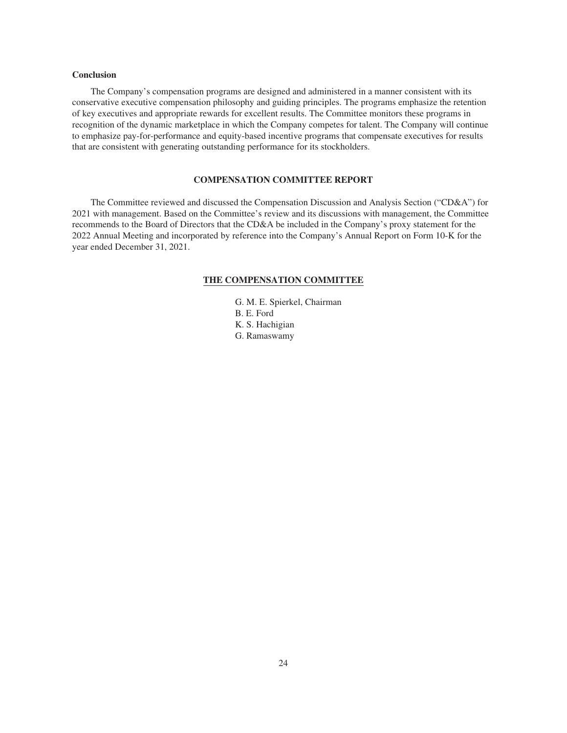# **Conclusion**

The Company's compensation programs are designed and administered in a manner consistent with its conservative executive compensation philosophy and guiding principles. The programs emphasize the retention of key executives and appropriate rewards for excellent results. The Committee monitors these programs in recognition of the dynamic marketplace in which the Company competes for talent. The Company will continue to emphasize pay-for-performance and equity-based incentive programs that compensate executives for results that are consistent with generating outstanding performance for its stockholders.

# **COMPENSATION COMMITTEE REPORT**

<span id="page-26-0"></span>The Committee reviewed and discussed the Compensation Discussion and Analysis Section ("CD&A") for 2021 with management. Based on the Committee's review and its discussions with management, the Committee recommends to the Board of Directors that the CD&A be included in the Company's proxy statement for the 2022 Annual Meeting and incorporated by reference into the Company's Annual Report on Form 10-K for the year ended December 31, 2021.

#### **THE COMPENSATION COMMITTEE**

- G. M. E. Spierkel, Chairman
- B. E. Ford
- K. S. Hachigian
- G. Ramaswamy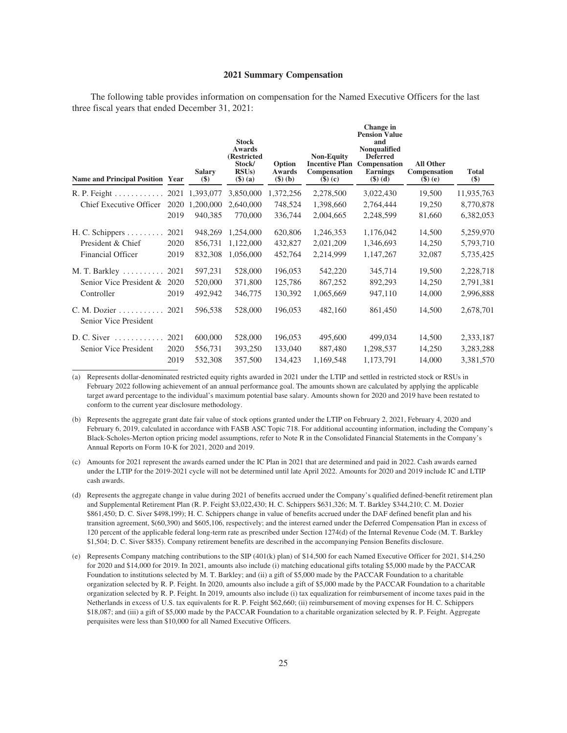#### **2021 Summary Compensation**

<span id="page-27-0"></span>The following table provides information on compensation for the Named Executive Officers for the last three fiscal years that ended December 31, 2021:

| <b>Name and Principal Position Year</b>               |      | <b>Salary</b><br>\$) | <b>Stock</b><br>Awards<br>(Restricted<br>Stock/<br>RSUs)<br>$($ \$) $(a)$ | Option<br>Awards<br>$(\$)$ (b) | <b>Non-Equity</b><br><b>Incentive Plan</b><br>Compensation<br>$(\$)$ (c) | Change in<br><b>Pension Value</b><br>and<br>Nonqualified<br><b>Deferred</b><br>Compensation<br><b>Earnings</b><br>$($ \$) $(d)$ | <b>All Other</b><br>Compensation<br>$\$$ (e) | <b>Total</b><br>\$) |
|-------------------------------------------------------|------|----------------------|---------------------------------------------------------------------------|--------------------------------|--------------------------------------------------------------------------|---------------------------------------------------------------------------------------------------------------------------------|----------------------------------------------|---------------------|
| $R. P. Feight \dots \dots \dots$                      |      | 2021 1,393,077       | 3,850,000                                                                 | 1,372,256                      | 2,278,500                                                                | 3,022,430                                                                                                                       | 19,500                                       | 11,935,763          |
| Chief Executive Officer                               | 2020 | 1,200,000            | 2,640,000                                                                 | 748,524                        | 1,398,660                                                                | 2,764,444                                                                                                                       | 19,250                                       | 8,770,878           |
|                                                       | 2019 | 940,385              | 770,000                                                                   | 336,744                        | 2,004,665                                                                | 2,248,599                                                                                                                       | 81,660                                       | 6,382,053           |
| H. C. Schippers                                       | 2021 | 948,269              | 1,254,000                                                                 | 620,806                        | 1,246,353                                                                | 1,176,042                                                                                                                       | 14,500                                       | 5,259,970           |
| President & Chief                                     | 2020 | 856,731              | 1,122,000                                                                 | 432,827                        | 2,021,209                                                                | 1,346,693                                                                                                                       | 14,250                                       | 5,793,710           |
| Financial Officer                                     | 2019 | 832,308              | 1,056,000                                                                 | 452,764                        | 2,214,999                                                                | 1,147,267                                                                                                                       | 32,087                                       | 5,735,425           |
| M. T. Barkley                                         | 2021 | 597,231              | 528,000                                                                   | 196,053                        | 542,220                                                                  | 345,714                                                                                                                         | 19,500                                       | 2,228,718           |
| Senior Vice President &                               | 2020 | 520,000              | 371,800                                                                   | 125,786                        | 867,252                                                                  | 892,293                                                                                                                         | 14,250                                       | 2,791,381           |
| Controller                                            | 2019 | 492,942              | 346,775                                                                   | 130,392                        | 1,065,669                                                                | 947,110                                                                                                                         | 14,000                                       | 2,996,888           |
| $C. M. Dozier \ldots \ldots$<br>Senior Vice President | 2021 | 596,538              | 528,000                                                                   | 196,053                        | 482,160                                                                  | 861,450                                                                                                                         | 14,500                                       | 2,678,701           |
| $D. C. Siver \dots \dots \dots$                       | 2021 | 600,000              | 528,000                                                                   | 196,053                        | 495,600                                                                  | 499,034                                                                                                                         | 14,500                                       | 2,333,187           |
| Senior Vice President                                 | 2020 | 556,731              | 393,250                                                                   | 133,040                        | 887,480                                                                  | 1,298,537                                                                                                                       | 14,250                                       | 3,283,288           |
|                                                       | 2019 | 532,308              | 357,500                                                                   | 134,423                        | 1,169,548                                                                | 1,173,791                                                                                                                       | 14,000                                       | 3,381,570           |

(a) Represents dollar-denominated restricted equity rights awarded in 2021 under the LTIP and settled in restricted stock or RSUs in February 2022 following achievement of an annual performance goal. The amounts shown are calculated by applying the applicable target award percentage to the individual's maximum potential base salary. Amounts shown for 2020 and 2019 have been restated to conform to the current year disclosure methodology.

(b) Represents the aggregate grant date fair value of stock options granted under the LTIP on February 2, 2021, February 4, 2020 and February 6, 2019, calculated in accordance with FASB ASC Topic 718. For additional accounting information, including the Company's Black-Scholes-Merton option pricing model assumptions, refer to Note R in the Consolidated Financial Statements in the Company's Annual Reports on Form 10-K for 2021, 2020 and 2019.

(c) Amounts for 2021 represent the awards earned under the IC Plan in 2021 that are determined and paid in 2022. Cash awards earned under the LTIP for the 2019-2021 cycle will not be determined until late April 2022. Amounts for 2020 and 2019 include IC and LTIP cash awards.

- (d) Represents the aggregate change in value during 2021 of benefits accrued under the Company's qualified defined-benefit retirement plan and Supplemental Retirement Plan (R. P. Feight \$3,022,430; H. C. Schippers \$631,326; M. T. Barkley \$344,210; C. M. Dozier \$861,450; D. C. Siver \$498,199); H. C. Schippers change in value of benefits accrued under the DAF defined benefit plan and his transition agreement, \$(60,390) and \$605,106, respectively; and the interest earned under the Deferred Compensation Plan in excess of 120 percent of the applicable federal long-term rate as prescribed under Section 1274(d) of the Internal Revenue Code (M. T. Barkley \$1,504; D. C. Siver \$835). Company retirement benefits are described in the accompanying Pension Benefits disclosure.
- (e) Represents Company matching contributions to the SIP (401(k) plan) of \$14,500 for each Named Executive Officer for 2021, \$14,250 for 2020 and \$14,000 for 2019. In 2021, amounts also include (i) matching educational gifts totaling \$5,000 made by the PACCAR Foundation to institutions selected by M. T. Barkley; and (ii) a gift of \$5,000 made by the PACCAR Foundation to a charitable organization selected by R. P. Feight. In 2020, amounts also include a gift of \$5,000 made by the PACCAR Foundation to a charitable organization selected by R. P. Feight. In 2019, amounts also include (i) tax equalization for reimbursement of income taxes paid in the Netherlands in excess of U.S. tax equivalents for R. P. Feight \$62,660; (ii) reimbursement of moving expenses for H. C. Schippers \$18,087; and (iii) a gift of \$5,000 made by the PACCAR Foundation to a charitable organization selected by R. P. Feight. Aggregate perquisites were less than \$10,000 for all Named Executive Officers.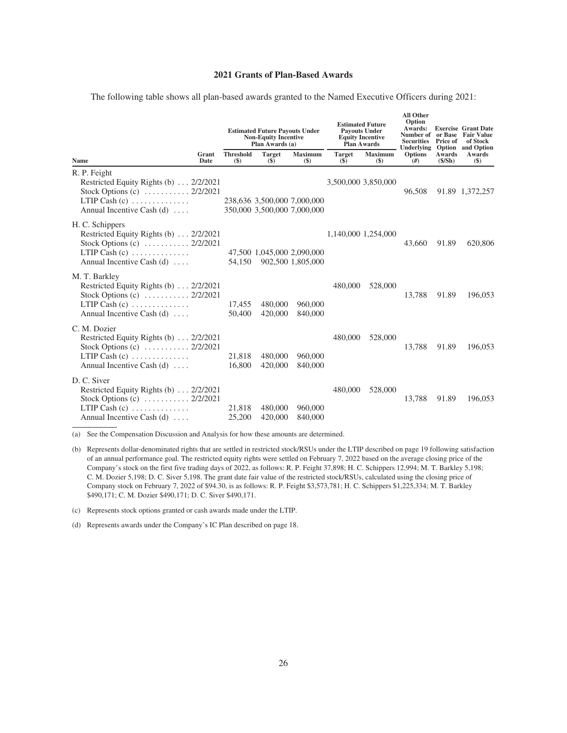# **2021 Grants of Plan-Based Awards**

|  |  |  |  |  | The following table shows all plan-based awards granted to the Named Executive Officers during 2021: |  |  |
|--|--|--|--|--|------------------------------------------------------------------------------------------------------|--|--|
|  |  |  |  |  |                                                                                                      |  |  |

<span id="page-28-0"></span>

|                                                                                                                                                                  |               | <b>Estimated Future Payouts Under</b><br><b>Non-Equity Incentive</b><br>Plan Awards (a) |                                                            |                          | <b>Estimated Future</b><br><b>Payouts Under</b><br><b>Equity Incentive</b><br>Plan Awards |                          | <b>All Other</b><br>Option<br>Awards:<br><b>Securities</b><br>Underlying Option and Option | Price of         | <b>Exercise Grant Date</b><br>Number of or Base Fair Value<br>of Stock |
|------------------------------------------------------------------------------------------------------------------------------------------------------------------|---------------|-----------------------------------------------------------------------------------------|------------------------------------------------------------|--------------------------|-------------------------------------------------------------------------------------------|--------------------------|--------------------------------------------------------------------------------------------|------------------|------------------------------------------------------------------------|
| <b>Name</b>                                                                                                                                                      | Grant<br>Date | <b>Threshold</b><br>$($)$                                                               | <b>Target</b><br>$\overline{\textbf{(S)}}$                 | <b>Maximum</b><br>$(\$)$ | <b>Target</b><br>$($ \$)                                                                  | <b>Maximum</b><br>$(\$)$ | <b>Options</b><br>#                                                                        | Awards<br>(S/Sh) | Awards<br>$($)$                                                        |
| R. P. Feight<br>Restricted Equity Rights (b) 2/2/2021<br>Stock Options (c) $\ldots \ldots \ldots 2/2/2021$<br>LTIP Cash $(c)$<br>Annual Incentive Cash $(d)$     |               |                                                                                         | 238,636 3,500,000 7,000,000<br>350,000 3,500,000 7,000,000 |                          |                                                                                           | 3,500,000 3,850,000      | 96,508                                                                                     |                  | 91.89 1,372,257                                                        |
| H. C. Schippers<br>Restricted Equity Rights (b) 2/2/2021<br>Stock Options (c) $\ldots \ldots \ldots 2/2/2021$<br>LTIP Cash $(c)$<br>Annual Incentive Cash $(d)$  |               | 54.150                                                                                  | 47,500 1,045,000 2,090,000                                 | 902,500 1,805,000        |                                                                                           | 1,140,000 1,254,000      | 43,660                                                                                     | 91.89            | 620,806                                                                |
| M. T. Barkley<br>Restricted Equity Rights (b) 2/2/2021<br>Stock Options (c) $\dots \dots \dots \dots 2/2/2021$<br>LTIP Cash $(c)$<br>Annual Incentive Cash $(d)$ |               | 17,455<br>50,400                                                                        | 480,000<br>420,000                                         | 960,000<br>840,000       | 480,000                                                                                   | 528,000                  | 13,788                                                                                     | 91.89            | 196,053                                                                |
| C. M. Dozier<br>Restricted Equity Rights (b) 2/2/2021<br>Stock Options (c) $\ldots \ldots \ldots 2/2/2021$<br>LTIP Cash $(c)$<br>Annual Incentive Cash $(d)$     |               | 21,818<br>16,800                                                                        | 480,000<br>420,000                                         | 960,000<br>840,000       | 480,000                                                                                   | 528,000                  | 13,788                                                                                     | 91.89            | 196,053                                                                |
| D. C. Siver<br>Restricted Equity Rights (b) 2/2/2021<br>Stock Options (c)  2/2/2021<br>LTIP Cash $(c)$<br>Annual Incentive Cash $(d)$                            |               | 21,818<br>25,200                                                                        | 480,000<br>420,000                                         | 960,000<br>840,000       | 480,000                                                                                   | 528,000                  | 13,788                                                                                     | 91.89            | 196,053                                                                |

(a) See the Compensation Discussion and Analysis for how these amounts are determined.

(c) Represents stock options granted or cash awards made under the LTIP.

(d) Represents awards under the Company's IC Plan described on page 18.

<sup>(</sup>b) Represents dollar-denominated rights that are settled in restricted stock/RSUs under the LTIP described on page 19 following satisfaction of an annual performance goal. The restricted equity rights were settled on February 7, 2022 based on the average closing price of the Company's stock on the first five trading days of 2022, as follows: R. P. Feight 37,898; H. C. Schippers 12,994; M. T. Barkley 5,198; C. M. Dozier 5,198; D. C. Siver 5,198. The grant date fair value of the restricted stock/RSUs, calculated using the closing price of Company stock on February 7, 2022 of \$94.30, is as follows: R. P. Feight \$3,573,781; H. C. Schippers \$1,225,334; M. T. Barkley \$490,171; C. M. Dozier \$490,171; D. C. Siver \$490,171.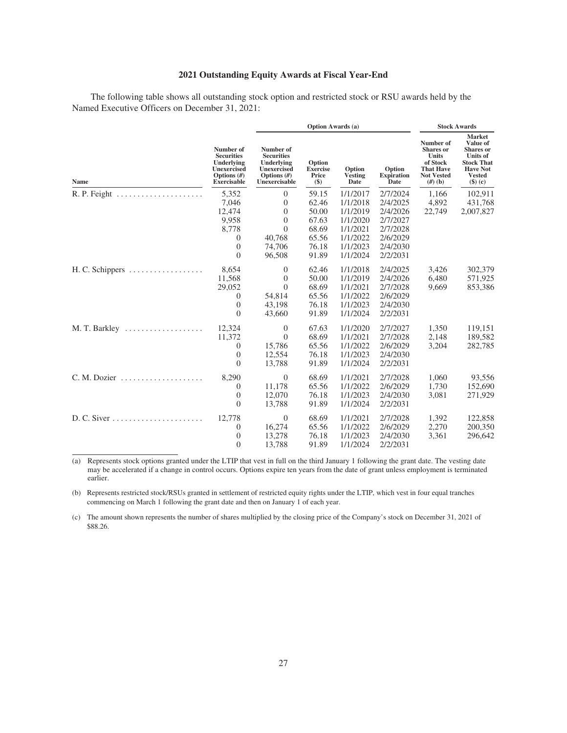# **2021 Outstanding Equity Awards at Fiscal Year-End**

<span id="page-29-0"></span>The following table shows all outstanding stock option and restricted stock or RSU awards held by the Named Executive Officers on December 31, 2021:

|                                                               |                                                                                                    |                                                                                               | <b>Option Awards (a)</b>                  | <b>Stock Awards</b>              |                                     |                                                                                                                 |                                                                                                                                  |
|---------------------------------------------------------------|----------------------------------------------------------------------------------------------------|-----------------------------------------------------------------------------------------------|-------------------------------------------|----------------------------------|-------------------------------------|-----------------------------------------------------------------------------------------------------------------|----------------------------------------------------------------------------------------------------------------------------------|
| Name                                                          | Number of<br><b>Securities</b><br>Underlying<br>Unexercised<br>Options $(H)$<br><b>Exercisable</b> | Number of<br><b>Securities</b><br>Underlying<br>Unexercised<br>Options $(H)$<br>Unexercisable | Option<br><b>Exercise</b><br>Price<br>\$) | Option<br><b>Vesting</b><br>Date | Option<br><b>Expiration</b><br>Date | Number of<br><b>Shares</b> or<br><b>Units</b><br>of Stock<br><b>That Have</b><br><b>Not Vested</b><br>$(h)$ (b) | <b>Market</b><br>Value of<br><b>Shares</b> or<br>Units of<br><b>Stock That</b><br><b>Have Not</b><br><b>Vested</b><br>$(\$)$ (c) |
| $R. P. Feight \dots \dots \dots \dots \dots \dots \dots$      | 5,352                                                                                              | $\theta$                                                                                      | 59.15                                     | 1/1/2017                         | 2/7/2024                            | 1,166                                                                                                           | 102,911                                                                                                                          |
|                                                               | 7,046                                                                                              | $\theta$                                                                                      | 62.46                                     | 1/1/2018                         | 2/4/2025                            | 4,892                                                                                                           | 431,768                                                                                                                          |
|                                                               | 12,474                                                                                             | $\boldsymbol{0}$                                                                              | 50.00                                     | 1/1/2019                         | 2/4/2026                            | 22,749                                                                                                          | 2,007,827                                                                                                                        |
|                                                               | 9,958                                                                                              | $\mathbf{0}$                                                                                  | 67.63                                     | 1/1/2020                         | 2/7/2027                            |                                                                                                                 |                                                                                                                                  |
|                                                               | 8,778                                                                                              | $\Omega$                                                                                      | 68.69                                     | 1/1/2021                         | 2/7/2028                            |                                                                                                                 |                                                                                                                                  |
|                                                               | 0                                                                                                  | 40,768                                                                                        | 65.56                                     | 1/1/2022                         | 2/6/2029                            |                                                                                                                 |                                                                                                                                  |
|                                                               | $\mathbf{0}$                                                                                       | 74,706                                                                                        | 76.18                                     | 1/1/2023                         | 2/4/2030                            |                                                                                                                 |                                                                                                                                  |
|                                                               | $\theta$                                                                                           | 96,508                                                                                        | 91.89                                     | 1/1/2024                         | 2/2/2031                            |                                                                                                                 |                                                                                                                                  |
| H. C. Schippers                                               | 8,654                                                                                              | $\theta$                                                                                      | 62.46                                     | 1/1/2018                         | 2/4/2025                            | 3,426                                                                                                           | 302,379                                                                                                                          |
|                                                               | 11,568                                                                                             | $\theta$                                                                                      | 50.00                                     | 1/1/2019                         | 2/4/2026                            | 6,480                                                                                                           | 571,925                                                                                                                          |
|                                                               | 29,052                                                                                             | $\theta$                                                                                      | 68.69                                     | 1/1/2021                         | 2/7/2028                            | 9,669                                                                                                           | 853,386                                                                                                                          |
|                                                               | $\boldsymbol{0}$                                                                                   | 54,814                                                                                        | 65.56                                     | 1/1/2022                         | 2/6/2029                            |                                                                                                                 |                                                                                                                                  |
|                                                               | $\theta$                                                                                           | 43,198                                                                                        | 76.18                                     | 1/1/2023                         | 2/4/2030                            |                                                                                                                 |                                                                                                                                  |
|                                                               | $\theta$                                                                                           | 43,660                                                                                        | 91.89                                     | 1/1/2024                         | 2/2/2031                            |                                                                                                                 |                                                                                                                                  |
|                                                               | 12,324                                                                                             | $\theta$                                                                                      | 67.63                                     | 1/1/2020                         | 2/7/2027                            | 1,350                                                                                                           | 119,151                                                                                                                          |
|                                                               | 11,372                                                                                             | $\Omega$                                                                                      | 68.69                                     | 1/1/2021                         | 2/7/2028                            | 2,148                                                                                                           | 189,582                                                                                                                          |
|                                                               | 0                                                                                                  | 15,786                                                                                        | 65.56                                     | 1/1/2022                         | 2/6/2029                            | 3,204                                                                                                           | 282,785                                                                                                                          |
|                                                               | $\boldsymbol{0}$                                                                                   | 12,554                                                                                        | 76.18                                     | 1/1/2023                         | 2/4/2030                            |                                                                                                                 |                                                                                                                                  |
|                                                               | $\Omega$                                                                                           | 13,788                                                                                        | 91.89                                     | 1/1/2024                         | 2/2/2031                            |                                                                                                                 |                                                                                                                                  |
|                                                               | 8,290                                                                                              | $\Omega$                                                                                      | 68.69                                     | 1/1/2021                         | 2/7/2028                            | 1,060                                                                                                           | 93,556                                                                                                                           |
|                                                               | $\overline{0}$                                                                                     | 11,178                                                                                        | 65.56                                     | 1/1/2022                         | 2/6/2029                            | 1,730                                                                                                           | 152,690                                                                                                                          |
|                                                               | $\overline{0}$                                                                                     | 12,070                                                                                        | 76.18                                     | 1/1/2023                         | 2/4/2030                            | 3,081                                                                                                           | 271,929                                                                                                                          |
|                                                               | $\theta$                                                                                           | 13,788                                                                                        | 91.89                                     | 1/1/2024                         | 2/2/2031                            |                                                                                                                 |                                                                                                                                  |
| $D. C. Siver \dots \dots \dots \dots \dots \dots \dots \dots$ | 12,778                                                                                             | $\theta$                                                                                      | 68.69                                     | 1/1/2021                         | 2/7/2028                            | 1,392                                                                                                           | 122,858                                                                                                                          |
|                                                               | 0                                                                                                  | 16,274                                                                                        | 65.56                                     | 1/1/2022                         | 2/6/2029                            | 2,270                                                                                                           | 200,350                                                                                                                          |
|                                                               | $\overline{0}$                                                                                     | 13,278                                                                                        | 76.18                                     | 1/1/2023                         | 2/4/2030                            | 3,361                                                                                                           | 296.642                                                                                                                          |
|                                                               | $\theta$                                                                                           | 13,788                                                                                        | 91.89                                     | 1/1/2024                         | 2/2/2031                            |                                                                                                                 |                                                                                                                                  |

(a) Represents stock options granted under the LTIP that vest in full on the third January 1 following the grant date. The vesting date may be accelerated if a change in control occurs. Options expire ten years from the date of grant unless employment is terminated earlier.

(b) Represents restricted stock/RSUs granted in settlement of restricted equity rights under the LTIP, which vest in four equal tranches commencing on March 1 following the grant date and then on January 1 of each year.

(c) The amount shown represents the number of shares multiplied by the closing price of the Company's stock on December 31, 2021 of \$88.26.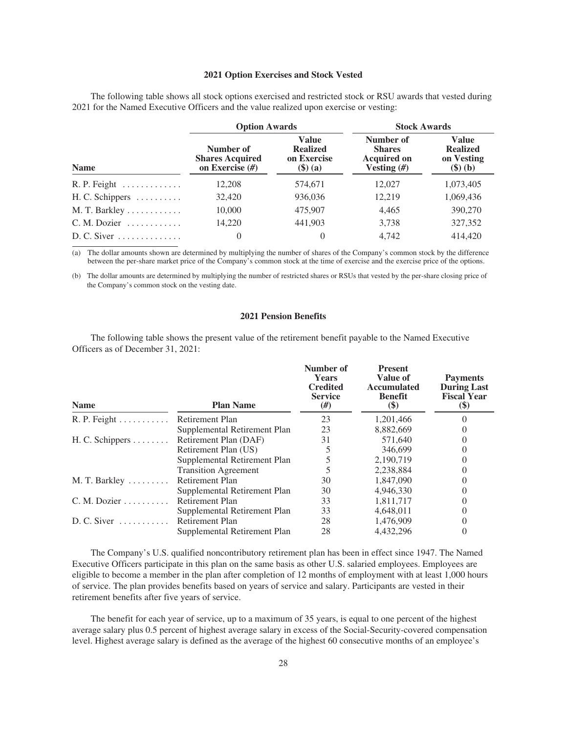#### **2021 Option Exercises and Stock Vested**

<span id="page-30-0"></span>The following table shows all stock options exercised and restricted stock or RSU awards that vested during 2021 for the Named Executive Officers and the value realized upon exercise or vesting:

|                                           | <b>Option Awards</b>                                     |                                                                       | <b>Stock Awards</b>                                              |                                                                                |  |  |
|-------------------------------------------|----------------------------------------------------------|-----------------------------------------------------------------------|------------------------------------------------------------------|--------------------------------------------------------------------------------|--|--|
| <b>Name</b>                               | Number of<br><b>Shares Acquired</b><br>on Exercise $(H)$ | <b>Value</b><br><b>Realized</b><br>on Exercise<br>$(\mathsf{\$})$ (a) | Number of<br><b>Shares</b><br><b>Acquired on</b><br>Vesting $#)$ | <b>Value</b><br><b>Realized</b><br>on Vesting<br>$(\mathbf{\$})\ (\mathbf{b})$ |  |  |
|                                           | 12,208                                                   | 574,671                                                               | 12,027                                                           | 1,073,405                                                                      |  |  |
| $H. C. Schippers \dots \dots \dots$       | 32,420                                                   | 936,036                                                               | 12,219                                                           | 1,069,436                                                                      |  |  |
| M. T. Barkley                             | 10,000                                                   | 475,907                                                               | 4,465                                                            | 390,270                                                                        |  |  |
| $C. M. Dozier \ldots \ldots \ldots$       | 14,220                                                   | 441,903                                                               | 3,738                                                            | 327,352                                                                        |  |  |
| $D. C. Siver \ldots \ldots \ldots \ldots$ | $\Omega$                                                 | 0                                                                     | 4,742                                                            | 414,420                                                                        |  |  |

(a) The dollar amounts shown are determined by multiplying the number of shares of the Company's common stock by the difference between the per-share market price of the Company's common stock at the time of exercise and the exercise price of the options.

<span id="page-30-1"></span>(b) The dollar amounts are determined by multiplying the number of restricted shares or RSUs that vested by the per-share closing price of the Company's common stock on the vesting date.

## **2021 Pension Benefits**

The following table shows the present value of the retirement benefit payable to the Named Executive Officers as of December 31, 2021:

| <b>Name</b>                         | <b>Plan Name</b>             | Number of<br><b>Years</b><br><b>Credited</b><br><b>Service</b><br>$(\#)$ | <b>Present</b><br>Value of<br><b>Accumulated</b><br><b>Benefit</b><br>(\$) | <b>Payments</b><br><b>During Last</b><br><b>Fiscal Year</b><br>$\left( \text{\$}\right)$ |
|-------------------------------------|------------------------------|--------------------------------------------------------------------------|----------------------------------------------------------------------------|------------------------------------------------------------------------------------------|
| $R. P. Feight \ldots \ldots \ldots$ | Retirement Plan              | 23                                                                       | 1,201,466                                                                  |                                                                                          |
|                                     | Supplemental Retirement Plan | 23                                                                       | 8,882,669                                                                  |                                                                                          |
| H. C. Schippers                     | Retirement Plan (DAF)        | 31                                                                       | 571,640                                                                    |                                                                                          |
|                                     | Retirement Plan (US)         |                                                                          | 346,699                                                                    |                                                                                          |
|                                     | Supplemental Retirement Plan |                                                                          | 2,190,719                                                                  |                                                                                          |
|                                     | <b>Transition Agreement</b>  |                                                                          | 2,238,884                                                                  |                                                                                          |
| M. T. Barkley                       | Retirement Plan              | 30                                                                       | 1,847,090                                                                  |                                                                                          |
|                                     | Supplemental Retirement Plan | 30                                                                       | 4,946,330                                                                  |                                                                                          |
| $C. M. Dozier \ldots \ldots$        | Retirement Plan              | 33                                                                       | 1,811,717                                                                  |                                                                                          |
|                                     | Supplemental Retirement Plan | 33                                                                       | 4,648,011                                                                  |                                                                                          |
| $D. C. Siver \dots \dots \dots$     | Retirement Plan              | 28                                                                       | 1,476,909                                                                  |                                                                                          |
|                                     | Supplemental Retirement Plan | 28                                                                       | 4.432.296                                                                  |                                                                                          |

The Company's U.S. qualified noncontributory retirement plan has been in effect since 1947. The Named Executive Officers participate in this plan on the same basis as other U.S. salaried employees. Employees are eligible to become a member in the plan after completion of 12 months of employment with at least 1,000 hours of service. The plan provides benefits based on years of service and salary. Participants are vested in their retirement benefits after five years of service.

The benefit for each year of service, up to a maximum of 35 years, is equal to one percent of the highest average salary plus 0.5 percent of highest average salary in excess of the Social-Security-covered compensation level. Highest average salary is defined as the average of the highest 60 consecutive months of an employee's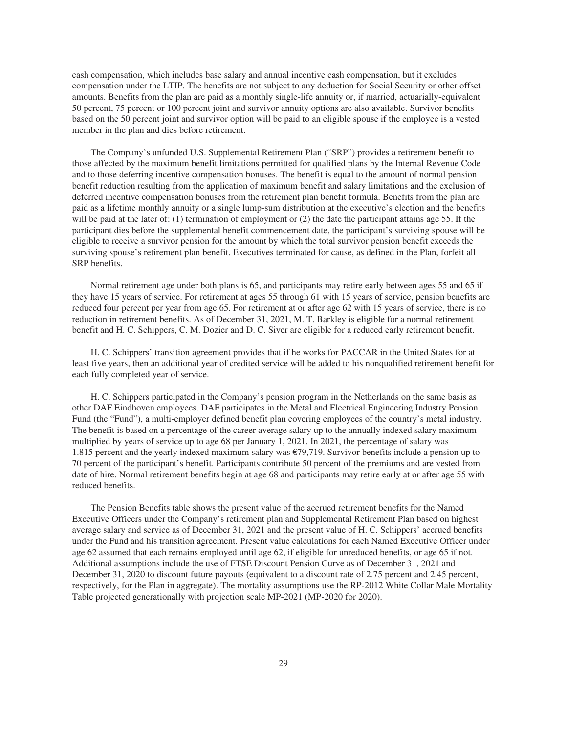cash compensation, which includes base salary and annual incentive cash compensation, but it excludes compensation under the LTIP. The benefits are not subject to any deduction for Social Security or other offset amounts. Benefits from the plan are paid as a monthly single-life annuity or, if married, actuarially-equivalent 50 percent, 75 percent or 100 percent joint and survivor annuity options are also available. Survivor benefits based on the 50 percent joint and survivor option will be paid to an eligible spouse if the employee is a vested member in the plan and dies before retirement.

The Company's unfunded U.S. Supplemental Retirement Plan ("SRP") provides a retirement benefit to those affected by the maximum benefit limitations permitted for qualified plans by the Internal Revenue Code and to those deferring incentive compensation bonuses. The benefit is equal to the amount of normal pension benefit reduction resulting from the application of maximum benefit and salary limitations and the exclusion of deferred incentive compensation bonuses from the retirement plan benefit formula. Benefits from the plan are paid as a lifetime monthly annuity or a single lump-sum distribution at the executive's election and the benefits will be paid at the later of: (1) termination of employment or (2) the date the participant attains age 55. If the participant dies before the supplemental benefit commencement date, the participant's surviving spouse will be eligible to receive a survivor pension for the amount by which the total survivor pension benefit exceeds the surviving spouse's retirement plan benefit. Executives terminated for cause, as defined in the Plan, forfeit all SRP benefits.

Normal retirement age under both plans is 65, and participants may retire early between ages 55 and 65 if they have 15 years of service. For retirement at ages 55 through 61 with 15 years of service, pension benefits are reduced four percent per year from age 65. For retirement at or after age 62 with 15 years of service, there is no reduction in retirement benefits. As of December 31, 2021, M. T. Barkley is eligible for a normal retirement benefit and H. C. Schippers, C. M. Dozier and D. C. Siver are eligible for a reduced early retirement benefit.

H. C. Schippers' transition agreement provides that if he works for PACCAR in the United States for at least five years, then an additional year of credited service will be added to his nonqualified retirement benefit for each fully completed year of service.

H. C. Schippers participated in the Company's pension program in the Netherlands on the same basis as other DAF Eindhoven employees. DAF participates in the Metal and Electrical Engineering Industry Pension Fund (the "Fund"), a multi-employer defined benefit plan covering employees of the country's metal industry. The benefit is based on a percentage of the career average salary up to the annually indexed salary maximum multiplied by years of service up to age 68 per January 1, 2021. In 2021, the percentage of salary was 1.815 percent and the yearly indexed maximum salary was €79,719. Survivor benefits include a pension up to 70 percent of the participant's benefit. Participants contribute 50 percent of the premiums and are vested from date of hire. Normal retirement benefits begin at age 68 and participants may retire early at or after age 55 with reduced benefits.

The Pension Benefits table shows the present value of the accrued retirement benefits for the Named Executive Officers under the Company's retirement plan and Supplemental Retirement Plan based on highest average salary and service as of December 31, 2021 and the present value of H. C. Schippers' accrued benefits under the Fund and his transition agreement. Present value calculations for each Named Executive Officer under age 62 assumed that each remains employed until age 62, if eligible for unreduced benefits, or age 65 if not. Additional assumptions include the use of FTSE Discount Pension Curve as of December 31, 2021 and December 31, 2020 to discount future payouts (equivalent to a discount rate of 2.75 percent and 2.45 percent, respectively, for the Plan in aggregate). The mortality assumptions use the RP-2012 White Collar Male Mortality Table projected generationally with projection scale MP-2021 (MP-2020 for 2020).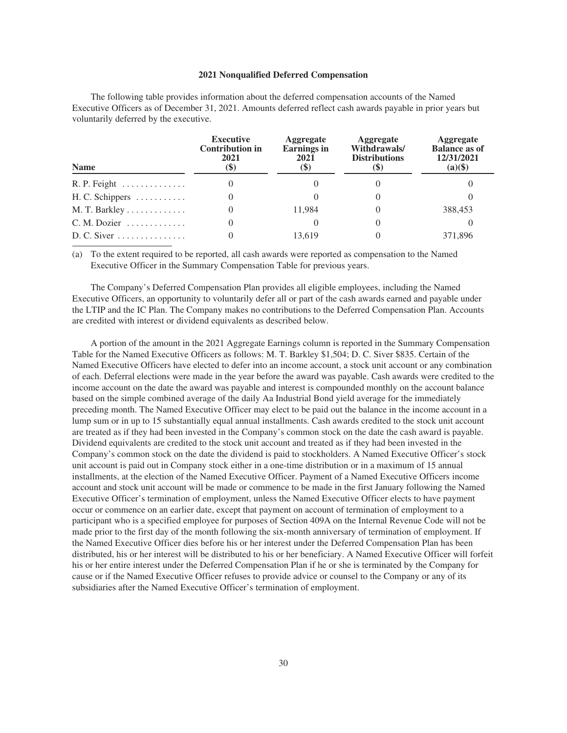#### **2021 Nonqualified Deferred Compensation**

<span id="page-32-0"></span>The following table provides information about the deferred compensation accounts of the Named Executive Officers as of December 31, 2021. Amounts deferred reflect cash awards payable in prior years but voluntarily deferred by the executive.

| <b>Name</b>                           | <b>Executive</b><br><b>Contribution in</b><br>2021<br>$\left( \mathcal{S}\right)$ | <b>Aggregate</b><br><b>Earnings</b> in<br>2021<br>$\left( \mathbb{S}\right)$ | <b>Aggregate</b><br>Withdrawals/<br><b>Distributions</b> | <b>Aggregate</b><br><b>Balance as of</b><br>12/31/2021<br>$(a)(\$)$ |
|---------------------------------------|-----------------------------------------------------------------------------------|------------------------------------------------------------------------------|----------------------------------------------------------|---------------------------------------------------------------------|
|                                       |                                                                                   |                                                                              |                                                          |                                                                     |
| $H. C. Schippers \dots \dots \dots$   |                                                                                   |                                                                              |                                                          |                                                                     |
| $M. T.$ Barkley                       |                                                                                   | 11.984                                                                       |                                                          | 388,453                                                             |
| $C. M. Dozier \ldots \ldots \ldots$   |                                                                                   |                                                                              |                                                          |                                                                     |
| $D. C. Siver \dots \dots \dots \dots$ |                                                                                   | 13.619                                                                       |                                                          | 371.896                                                             |

(a) To the extent required to be reported, all cash awards were reported as compensation to the Named Executive Officer in the Summary Compensation Table for previous years.

The Company's Deferred Compensation Plan provides all eligible employees, including the Named Executive Officers, an opportunity to voluntarily defer all or part of the cash awards earned and payable under the LTIP and the IC Plan. The Company makes no contributions to the Deferred Compensation Plan. Accounts are credited with interest or dividend equivalents as described below.

A portion of the amount in the 2021 Aggregate Earnings column is reported in the Summary Compensation Table for the Named Executive Officers as follows: M. T. Barkley \$1,504; D. C. Siver \$835. Certain of the Named Executive Officers have elected to defer into an income account, a stock unit account or any combination of each. Deferral elections were made in the year before the award was payable. Cash awards were credited to the income account on the date the award was payable and interest is compounded monthly on the account balance based on the simple combined average of the daily Aa Industrial Bond yield average for the immediately preceding month. The Named Executive Officer may elect to be paid out the balance in the income account in a lump sum or in up to 15 substantially equal annual installments. Cash awards credited to the stock unit account are treated as if they had been invested in the Company's common stock on the date the cash award is payable. Dividend equivalents are credited to the stock unit account and treated as if they had been invested in the Company's common stock on the date the dividend is paid to stockholders. A Named Executive Officer's stock unit account is paid out in Company stock either in a one-time distribution or in a maximum of 15 annual installments, at the election of the Named Executive Officer. Payment of a Named Executive Officers income account and stock unit account will be made or commence to be made in the first January following the Named Executive Officer's termination of employment, unless the Named Executive Officer elects to have payment occur or commence on an earlier date, except that payment on account of termination of employment to a participant who is a specified employee for purposes of Section 409A on the Internal Revenue Code will not be made prior to the first day of the month following the six-month anniversary of termination of employment. If the Named Executive Officer dies before his or her interest under the Deferred Compensation Plan has been distributed, his or her interest will be distributed to his or her beneficiary. A Named Executive Officer will forfeit his or her entire interest under the Deferred Compensation Plan if he or she is terminated by the Company for cause or if the Named Executive Officer refuses to provide advice or counsel to the Company or any of its subsidiaries after the Named Executive Officer's termination of employment.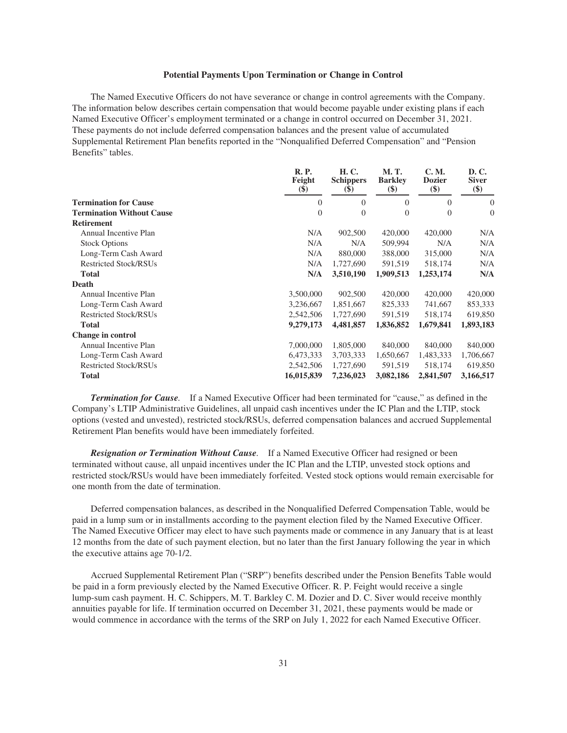#### **Potential Payments Upon Termination or Change in Control**

<span id="page-33-0"></span>The Named Executive Officers do not have severance or change in control agreements with the Company. The information below describes certain compensation that would become payable under existing plans if each Named Executive Officer's employment terminated or a change in control occurred on December 31, 2021. These payments do not include deferred compensation balances and the present value of accumulated Supplemental Retirement Plan benefits reported in the "Nonqualified Deferred Compensation" and "Pension Benefits" tables.

|                                  | <b>R.P.</b><br>Feight<br>$\left( \mathbb{S}\right)$ | H. C.<br><b>Schippers</b><br>$\left( \mathbf{S} \right)$ | M. T.<br><b>Barkley</b><br>$\left( \text{\$}\right)$ | C. M.<br><b>Dozier</b><br>\$) | D. C.<br><b>Siver</b><br>\$) |
|----------------------------------|-----------------------------------------------------|----------------------------------------------------------|------------------------------------------------------|-------------------------------|------------------------------|
| <b>Termination for Cause</b>     | $\overline{0}$                                      | $\theta$                                                 | $\theta$                                             | $\theta$                      | $\overline{0}$               |
| <b>Termination Without Cause</b> | $\theta$                                            | $\theta$                                                 | $\theta$                                             | $\theta$                      | $\theta$                     |
| <b>Retirement</b>                |                                                     |                                                          |                                                      |                               |                              |
| Annual Incentive Plan            | N/A                                                 | 902,500                                                  | 420,000                                              | 420,000                       | N/A                          |
| <b>Stock Options</b>             | N/A                                                 | N/A                                                      | 509,994                                              | N/A                           | N/A                          |
| Long-Term Cash Award             | N/A                                                 | 880,000                                                  | 388,000                                              | 315,000                       | N/A                          |
| <b>Restricted Stock/RSUs</b>     | N/A                                                 | 1,727,690                                                | 591,519                                              | 518,174                       | N/A                          |
| <b>Total</b>                     | N/A                                                 | 3,510,190                                                | 1,909,513                                            | 1,253,174                     | N/A                          |
| Death                            |                                                     |                                                          |                                                      |                               |                              |
| Annual Incentive Plan            | 3,500,000                                           | 902,500                                                  | 420,000                                              | 420,000                       | 420,000                      |
| Long-Term Cash Award             | 3,236,667                                           | 1,851,667                                                | 825,333                                              | 741,667                       | 853,333                      |
| <b>Restricted Stock/RSUs</b>     | 2,542,506                                           | 1,727,690                                                | 591,519                                              | 518,174                       | 619,850                      |
| <b>Total</b>                     | 9,279,173                                           | 4,481,857                                                | 1,836,852                                            | 1,679,841                     | 1,893,183                    |
| Change in control                |                                                     |                                                          |                                                      |                               |                              |
| Annual Incentive Plan            | 7,000,000                                           | 1,805,000                                                | 840,000                                              | 840,000                       | 840,000                      |
| Long-Term Cash Award             | 6,473,333                                           | 3,703,333                                                | 1,650,667                                            | 1,483,333                     | 1,706,667                    |
| <b>Restricted Stock/RSUs</b>     | 2,542,506                                           | 1,727,690                                                | 591,519                                              | 518,174                       | 619,850                      |
| <b>Total</b>                     | 16,015,839                                          | 7,236,023                                                | 3,082,186                                            | 2,841,507                     | 3,166,517                    |

*Termination for Cause.* If a Named Executive Officer had been terminated for "cause," as defined in the Company's LTIP Administrative Guidelines, all unpaid cash incentives under the IC Plan and the LTIP, stock options (vested and unvested), restricted stock/RSUs, deferred compensation balances and accrued Supplemental Retirement Plan benefits would have been immediately forfeited.

*Resignation or Termination Without Cause.* If a Named Executive Officer had resigned or been terminated without cause, all unpaid incentives under the IC Plan and the LTIP, unvested stock options and restricted stock/RSUs would have been immediately forfeited. Vested stock options would remain exercisable for one month from the date of termination.

Deferred compensation balances, as described in the Nonqualified Deferred Compensation Table, would be paid in a lump sum or in installments according to the payment election filed by the Named Executive Officer. The Named Executive Officer may elect to have such payments made or commence in any January that is at least 12 months from the date of such payment election, but no later than the first January following the year in which the executive attains age 70-1/2.

Accrued Supplemental Retirement Plan ("SRP") benefits described under the Pension Benefits Table would be paid in a form previously elected by the Named Executive Officer. R. P. Feight would receive a single lump-sum cash payment. H. C. Schippers, M. T. Barkley C. M. Dozier and D. C. Siver would receive monthly annuities payable for life. If termination occurred on December 31, 2021, these payments would be made or would commence in accordance with the terms of the SRP on July 1, 2022 for each Named Executive Officer.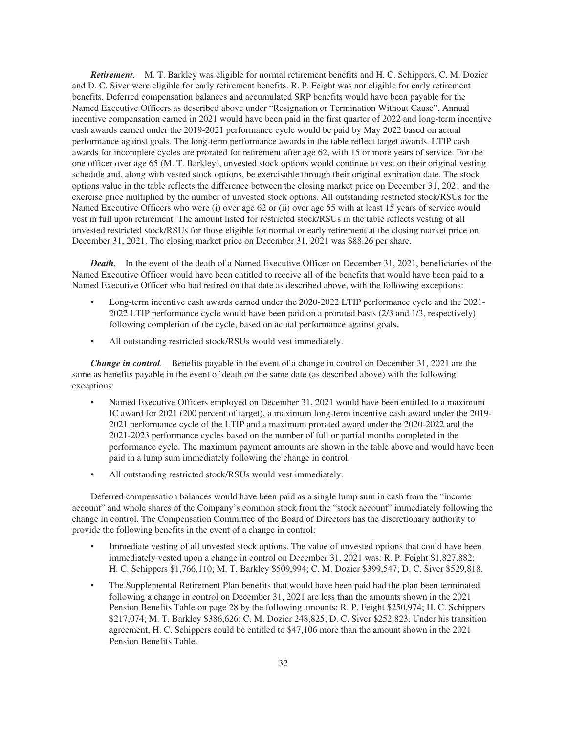*Retirement.* M. T. Barkley was eligible for normal retirement benefits and H. C. Schippers, C. M. Dozier and D. C. Siver were eligible for early retirement benefits. R. P. Feight was not eligible for early retirement benefits. Deferred compensation balances and accumulated SRP benefits would have been payable for the Named Executive Officers as described above under "Resignation or Termination Without Cause". Annual incentive compensation earned in 2021 would have been paid in the first quarter of 2022 and long-term incentive cash awards earned under the 2019-2021 performance cycle would be paid by May 2022 based on actual performance against goals. The long-term performance awards in the table reflect target awards. LTIP cash awards for incomplete cycles are prorated for retirement after age 62, with 15 or more years of service. For the one officer over age 65 (M. T. Barkley), unvested stock options would continue to vest on their original vesting schedule and, along with vested stock options, be exercisable through their original expiration date. The stock options value in the table reflects the difference between the closing market price on December 31, 2021 and the exercise price multiplied by the number of unvested stock options. All outstanding restricted stock/RSUs for the Named Executive Officers who were (i) over age 62 or (ii) over age 55 with at least 15 years of service would vest in full upon retirement. The amount listed for restricted stock/RSUs in the table reflects vesting of all unvested restricted stock/RSUs for those eligible for normal or early retirement at the closing market price on December 31, 2021. The closing market price on December 31, 2021 was \$88.26 per share.

*Death.* In the event of the death of a Named Executive Officer on December 31, 2021, beneficiaries of the Named Executive Officer would have been entitled to receive all of the benefits that would have been paid to a Named Executive Officer who had retired on that date as described above, with the following exceptions:

- Long-term incentive cash awards earned under the 2020-2022 LTIP performance cycle and the 2021- 2022 LTIP performance cycle would have been paid on a prorated basis (2/3 and 1/3, respectively) following completion of the cycle, based on actual performance against goals.
- All outstanding restricted stock/RSUs would vest immediately.

*Change in control.* Benefits payable in the event of a change in control on December 31, 2021 are the same as benefits payable in the event of death on the same date (as described above) with the following exceptions:

- Named Executive Officers employed on December 31, 2021 would have been entitled to a maximum IC award for 2021 (200 percent of target), a maximum long-term incentive cash award under the 2019- 2021 performance cycle of the LTIP and a maximum prorated award under the 2020-2022 and the 2021-2023 performance cycles based on the number of full or partial months completed in the performance cycle. The maximum payment amounts are shown in the table above and would have been paid in a lump sum immediately following the change in control.
- All outstanding restricted stock/RSUs would vest immediately.

Deferred compensation balances would have been paid as a single lump sum in cash from the "income account" and whole shares of the Company's common stock from the "stock account" immediately following the change in control. The Compensation Committee of the Board of Directors has the discretionary authority to provide the following benefits in the event of a change in control:

- Immediate vesting of all unvested stock options. The value of unvested options that could have been immediately vested upon a change in control on December 31, 2021 was: R. P. Feight \$1,827,882; H. C. Schippers \$1,766,110; M. T. Barkley \$509,994; C. M. Dozier \$399,547; D. C. Siver \$529,818.
- The Supplemental Retirement Plan benefits that would have been paid had the plan been terminated following a change in control on December 31, 2021 are less than the amounts shown in the 2021 Pension Benefits Table on page 28 by the following amounts: R. P. Feight \$250,974; H. C. Schippers \$217,074; M. T. Barkley \$386,626; C. M. Dozier 248,825; D. C. Siver \$252,823. Under his transition agreement, H. C. Schippers could be entitled to \$47,106 more than the amount shown in the 2021 Pension Benefits Table.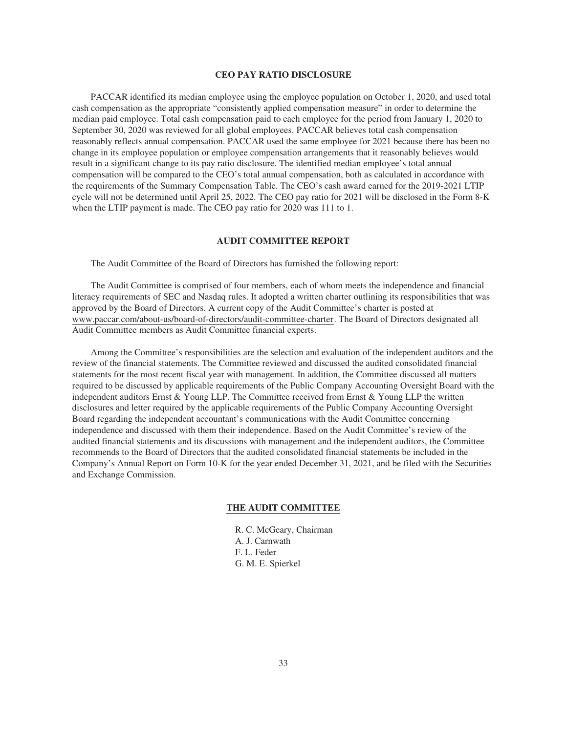#### **CEO PAY RATIO DISCLOSURE**

<span id="page-35-0"></span>PACCAR identified its median employee using the employee population on October 1, 2020, and used total cash compensation as the appropriate "consistently applied compensation measure" in order to determine the median paid employee. Total cash compensation paid to each employee for the period from January 1, 2020 to September 30, 2020 was reviewed for all global employees. PACCAR believes total cash compensation reasonably reflects annual compensation. PACCAR used the same employee for 2021 because there has been no change in its employee population or employee compensation arrangements that it reasonably believes would result in a significant change to its pay ratio disclosure. The identified median employee's total annual compensation will be compared to the CEO's total annual compensation, both as calculated in accordance with the requirements of the Summary Compensation Table. The CEO's cash award earned for the 2019-2021 LTIP cycle will not be determined until April 25, 2022. The CEO pay ratio for 2021 will be disclosed in the Form 8-K when the LTIP payment is made. The CEO pay ratio for 2020 was 111 to 1.

## **AUDIT COMMITTEE REPORT**

The Audit Committee of the Board of Directors has furnished the following report:

<span id="page-35-1"></span>The Audit Committee is comprised of four members, each of whom meets the independence and financial literacy requirements of SEC and Nasdaq rules. It adopted a written charter outlining its responsibilities that was approved by the Board of Directors. A current copy of the Audit Committee's charter is posted at www.paccar.com/about-us/board-of-directors/audit-committee-charter. The Board of Directors designated all Audit Committee members as Audit Committee financial experts.

Among the Committee's responsibilities are the selection and evaluation of the independent auditors and the review of the financial statements. The Committee reviewed and discussed the audited consolidated financial statements for the most recent fiscal year with management. In addition, the Committee discussed all matters required to be discussed by applicable requirements of the Public Company Accounting Oversight Board with the independent auditors Ernst & Young LLP. The Committee received from Ernst & Young LLP the written disclosures and letter required by the applicable requirements of the Public Company Accounting Oversight Board regarding the independent accountant's communications with the Audit Committee concerning independence and discussed with them their independence. Based on the Audit Committee's review of the audited financial statements and its discussions with management and the independent auditors, the Committee recommends to the Board of Directors that the audited consolidated financial statements be included in the Company's Annual Report on Form 10-K for the year ended December 31, 2021, and be filed with the Securities and Exchange Commission.

### **THE AUDIT COMMITTEE**

R. C. McGeary, Chairman A. J. Carnwath F. L. Feder G. M. E. Spierkel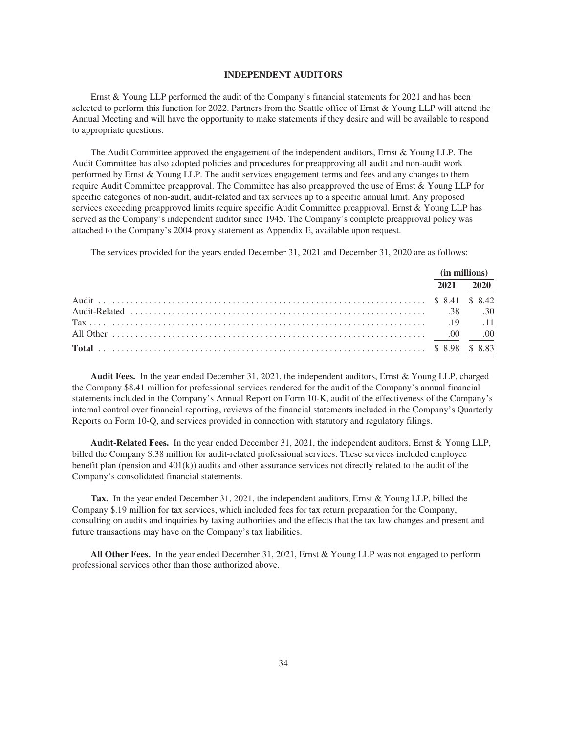#### **INDEPENDENT AUDITORS**

<span id="page-36-0"></span>Ernst & Young LLP performed the audit of the Company's financial statements for 2021 and has been selected to perform this function for 2022. Partners from the Seattle office of Ernst & Young LLP will attend the Annual Meeting and will have the opportunity to make statements if they desire and will be available to respond to appropriate questions.

The Audit Committee approved the engagement of the independent auditors, Ernst & Young LLP. The Audit Committee has also adopted policies and procedures for preapproving all audit and non-audit work performed by Ernst & Young LLP. The audit services engagement terms and fees and any changes to them require Audit Committee preapproval. The Committee has also preapproved the use of Ernst & Young LLP for specific categories of non-audit, audit-related and tax services up to a specific annual limit. Any proposed services exceeding preapproved limits require specific Audit Committee preapproval. Ernst & Young LLP has served as the Company's independent auditor since 1945. The Company's complete preapproval policy was attached to the Company's 2004 proxy statement as Appendix E, available upon request.

The services provided for the years ended December 31, 2021 and December 31, 2020 are as follows:

|                                                                                                       |      | (in millions) |
|-------------------------------------------------------------------------------------------------------|------|---------------|
|                                                                                                       | 2021 | 2020          |
|                                                                                                       |      |               |
| .30 .30 .30 .30 .31 .39 .30 .30 .39 .30 .39 .30 .39 .30 .39 .30 .39 .30 .39 .30 .39 .30 .39 .30 .39 . |      |               |
|                                                                                                       |      |               |
|                                                                                                       |      |               |
|                                                                                                       |      |               |

**Audit Fees.** In the year ended December 31, 2021, the independent auditors, Ernst & Young LLP, charged the Company \$8.41 million for professional services rendered for the audit of the Company's annual financial statements included in the Company's Annual Report on Form 10-K, audit of the effectiveness of the Company's internal control over financial reporting, reviews of the financial statements included in the Company's Quarterly Reports on Form 10-Q, and services provided in connection with statutory and regulatory filings.

**Audit-Related Fees.** In the year ended December 31, 2021, the independent auditors, Ernst & Young LLP, billed the Company \$.38 million for audit-related professional services. These services included employee benefit plan (pension and 401(k)) audits and other assurance services not directly related to the audit of the Company's consolidated financial statements.

**Tax.** In the year ended December 31, 2021, the independent auditors, Ernst & Young LLP, billed the Company \$.19 million for tax services, which included fees for tax return preparation for the Company, consulting on audits and inquiries by taxing authorities and the effects that the tax law changes and present and future transactions may have on the Company's tax liabilities.

**All Other Fees.** In the year ended December 31, 2021, Ernst & Young LLP was not engaged to perform professional services other than those authorized above.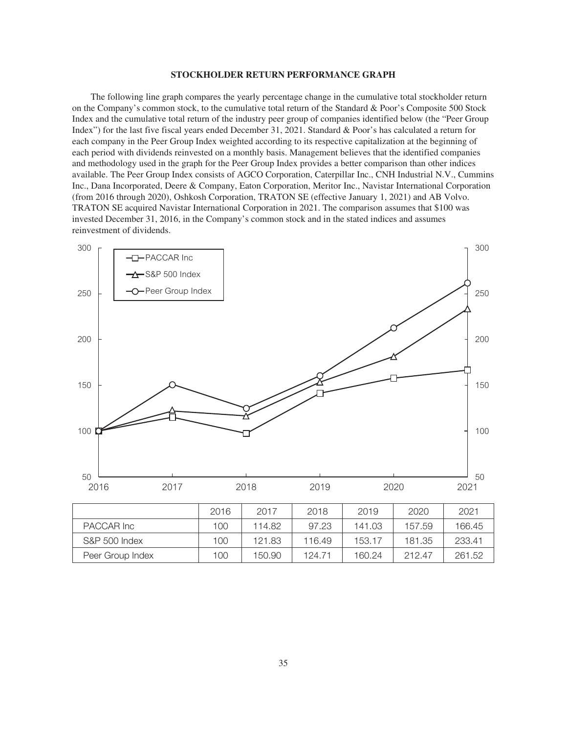#### **STOCKHOLDER RETURN PERFORMANCE GRAPH**

<span id="page-37-0"></span>The following line graph compares the yearly percentage change in the cumulative total stockholder return on the Company's common stock, to the cumulative total return of the Standard & Poor's Composite 500 Stock Index and the cumulative total return of the industry peer group of companies identified below (the "Peer Group Index") for the last five fiscal years ended December 31, 2021. Standard & Poor's has calculated a return for each company in the Peer Group Index weighted according to its respective capitalization at the beginning of each period with dividends reinvested on a monthly basis. Management believes that the identified companies and methodology used in the graph for the Peer Group Index provides a better comparison than other indices available. The Peer Group Index consists of AGCO Corporation, Caterpillar Inc., CNH Industrial N.V., Cummins Inc., Dana Incorporated, Deere & Company, Eaton Corporation, Meritor Inc., Navistar International Corporation (from 2016 through 2020), Oshkosh Corporation, TRATON SE (effective January 1, 2021) and AB Volvo. TRATON SE acquired Navistar International Corporation in 2021. The comparison assumes that \$100 was invested December 31, 2016, in the Company's common stock and in the stated indices and assumes reinvestment of dividends.

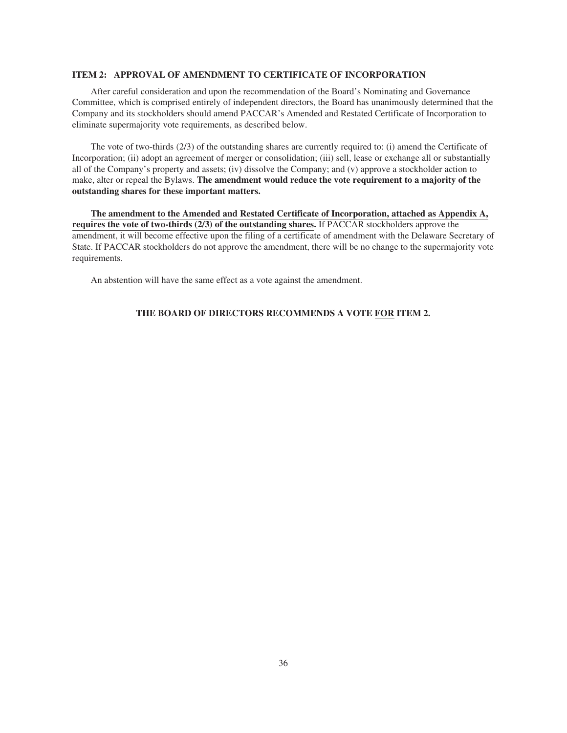#### <span id="page-38-0"></span>**ITEM 2: APPROVAL OF AMENDMENT TO CERTIFICATE OF INCORPORATION**

After careful consideration and upon the recommendation of the Board's Nominating and Governance Committee, which is comprised entirely of independent directors, the Board has unanimously determined that the Company and its stockholders should amend PACCAR's Amended and Restated Certificate of Incorporation to eliminate supermajority vote requirements, as described below.

The vote of two-thirds (2/3) of the outstanding shares are currently required to: (i) amend the Certificate of Incorporation; (ii) adopt an agreement of merger or consolidation; (iii) sell, lease or exchange all or substantially all of the Company's property and assets; (iv) dissolve the Company; and (v) approve a stockholder action to make, alter or repeal the Bylaws. **The amendment would reduce the vote requirement to a majority of the outstanding shares for these important matters.**

**The amendment to the Amended and Restated Certificate of Incorporation, attached as Appendix A, requires the vote of two-thirds (2/3) of the outstanding shares.** If PACCAR stockholders approve the amendment, it will become effective upon the filing of a certificate of amendment with the Delaware Secretary of State. If PACCAR stockholders do not approve the amendment, there will be no change to the supermajority vote requirements.

An abstention will have the same effect as a vote against the amendment.

# **THE BOARD OF DIRECTORS RECOMMENDS A VOTE FOR ITEM 2.**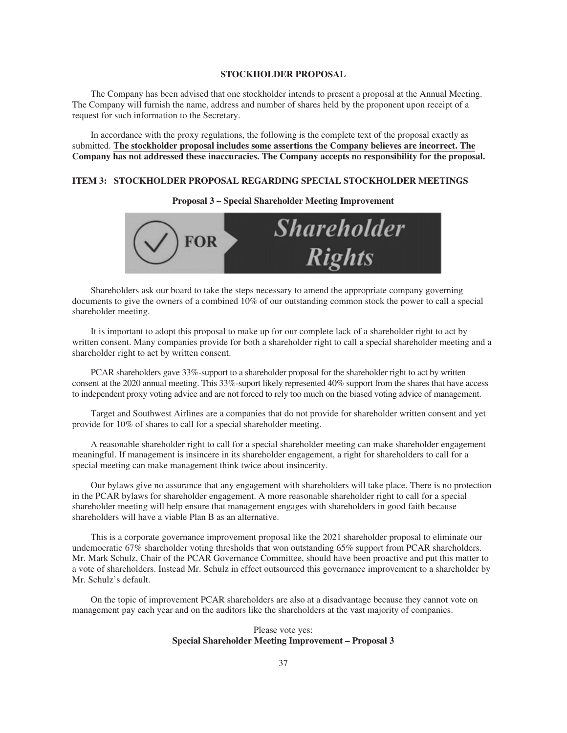#### **STOCKHOLDER PROPOSAL**

The Company has been advised that one stockholder intends to present a proposal at the Annual Meeting. The Company will furnish the name, address and number of shares held by the proponent upon receipt of a request for such information to the Secretary.

In accordance with the proxy regulations, the following is the complete text of the proposal exactly as submitted. **The stockholder proposal includes some assertions the Company believes are incorrect. The Company has not addressed these inaccuracies. The Company accepts no responsibility for the proposal.**

# <span id="page-39-0"></span>**ITEM 3: STOCKHOLDER PROPOSAL REGARDING SPECIAL STOCKHOLDER MEETINGS**

**Proposal 3 – Special Shareholder Meeting Improvement**



Shareholders ask our board to take the steps necessary to amend the appropriate company governing documents to give the owners of a combined 10% of our outstanding common stock the power to call a special shareholder meeting.

It is important to adopt this proposal to make up for our complete lack of a shareholder right to act by written consent. Many companies provide for both a shareholder right to call a special shareholder meeting and a shareholder right to act by written consent.

PCAR shareholders gave 33%-support to a shareholder proposal for the shareholder right to act by written consent at the 2020 annual meeting. This 33%-suport likely represented 40% support from the shares that have access to independent proxy voting advice and are not forced to rely too much on the biased voting advice of management.

Target and Southwest Airlines are a companies that do not provide for shareholder written consent and yet provide for 10% of shares to call for a special shareholder meeting.

A reasonable shareholder right to call for a special shareholder meeting can make shareholder engagement meaningful. If management is insincere in its shareholder engagement, a right for shareholders to call for a special meeting can make management think twice about insincerity.

Our bylaws give no assurance that any engagement with shareholders will take place. There is no protection in the PCAR bylaws for shareholder engagement. A more reasonable shareholder right to call for a special shareholder meeting will help ensure that management engages with shareholders in good faith because shareholders will have a viable Plan B as an alternative.

This is a corporate governance improvement proposal like the 2021 shareholder proposal to eliminate our undemocratic 67% shareholder voting thresholds that won outstanding 65% support from PCAR shareholders. Mr. Mark Schulz, Chair of the PCAR Governance Committee, should have been proactive and put this matter to a vote of shareholders. Instead Mr. Schulz in effect outsourced this governance improvement to a shareholder by Mr. Schulz's default.

On the topic of improvement PCAR shareholders are also at a disadvantage because they cannot vote on management pay each year and on the auditors like the shareholders at the vast majority of companies.

# Please vote yes: **Special Shareholder Meeting Improvement – Proposal 3**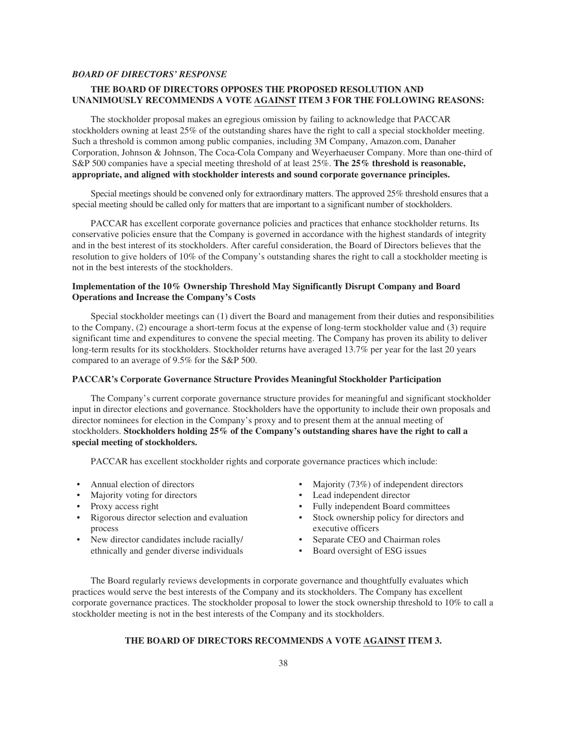# <span id="page-40-0"></span>*BOARD OF DIRECTORS' RESPONSE*

# **THE BOARD OF DIRECTORS OPPOSES THE PROPOSED RESOLUTION AND UNANIMOUSLY RECOMMENDS A VOTE AGAINST ITEM 3 FOR THE FOLLOWING REASONS:**

The stockholder proposal makes an egregious omission by failing to acknowledge that PACCAR stockholders owning at least 25% of the outstanding shares have the right to call a special stockholder meeting. Such a threshold is common among public companies, including 3M Company, Amazon.com, Danaher Corporation, Johnson & Johnson, The Coca-Cola Company and Weyerhaeuser Company. More than one-third of S&P 500 companies have a special meeting threshold of at least 25%. **The 25% threshold is reasonable, appropriate, and aligned with stockholder interests and sound corporate governance principles.**

Special meetings should be convened only for extraordinary matters. The approved 25% threshold ensures that a special meeting should be called only for matters that are important to a significant number of stockholders.

PACCAR has excellent corporate governance policies and practices that enhance stockholder returns. Its conservative policies ensure that the Company is governed in accordance with the highest standards of integrity and in the best interest of its stockholders. After careful consideration, the Board of Directors believes that the resolution to give holders of 10% of the Company's outstanding shares the right to call a stockholder meeting is not in the best interests of the stockholders.

# **Implementation of the 10% Ownership Threshold May Significantly Disrupt Company and Board Operations and Increase the Company's Costs**

Special stockholder meetings can (1) divert the Board and management from their duties and responsibilities to the Company, (2) encourage a short-term focus at the expense of long-term stockholder value and (3) require significant time and expenditures to convene the special meeting. The Company has proven its ability to deliver long-term results for its stockholders. Stockholder returns have averaged 13.7% per year for the last 20 years compared to an average of 9.5% for the S&P 500.

# **PACCAR's Corporate Governance Structure Provides Meaningful Stockholder Participation**

The Company's current corporate governance structure provides for meaningful and significant stockholder input in director elections and governance. Stockholders have the opportunity to include their own proposals and director nominees for election in the Company's proxy and to present them at the annual meeting of stockholders. **Stockholders holding 25% of the Company's outstanding shares have the right to call a special meeting of stockholders.**

PACCAR has excellent stockholder rights and corporate governance practices which include:

- Annual election of directors
- Majority voting for directors
- Proxy access right
- Rigorous director selection and evaluation process
- New director candidates include racially/ ethnically and gender diverse individuals
- Majority (73%) of independent directors
- Lead independent director
- Fully independent Board committees
- Stock ownership policy for directors and executive officers
- Separate CEO and Chairman roles
- Board oversight of ESG issues

The Board regularly reviews developments in corporate governance and thoughtfully evaluates which practices would serve the best interests of the Company and its stockholders. The Company has excellent corporate governance practices. The stockholder proposal to lower the stock ownership threshold to 10% to call a stockholder meeting is not in the best interests of the Company and its stockholders.

# **THE BOARD OF DIRECTORS RECOMMENDS A VOTE AGAINST ITEM 3.**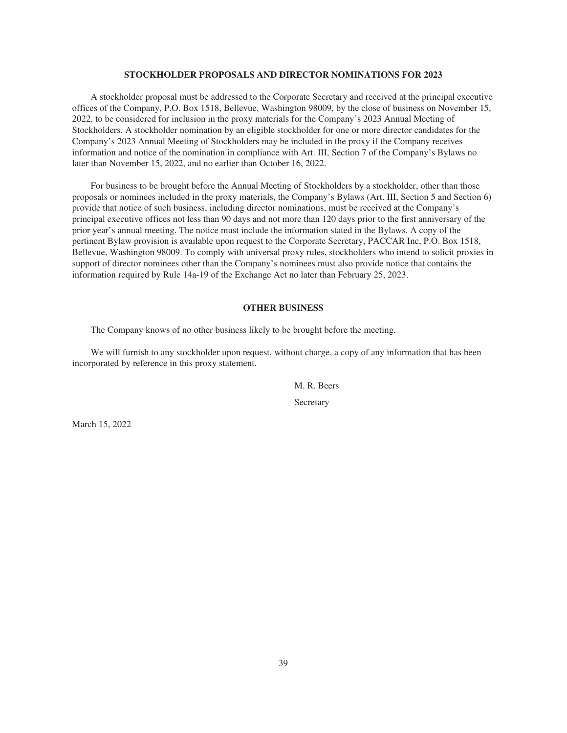#### **STOCKHOLDER PROPOSALS AND DIRECTOR NOMINATIONS FOR 2023**

<span id="page-41-0"></span>A stockholder proposal must be addressed to the Corporate Secretary and received at the principal executive offices of the Company, P.O. Box 1518, Bellevue, Washington 98009, by the close of business on November 15, 2022, to be considered for inclusion in the proxy materials for the Company's 2023 Annual Meeting of Stockholders. A stockholder nomination by an eligible stockholder for one or more director candidates for the Company's 2023 Annual Meeting of Stockholders may be included in the proxy if the Company receives information and notice of the nomination in compliance with Art. III, Section 7 of the Company's Bylaws no later than November 15, 2022, and no earlier than October 16, 2022.

For business to be brought before the Annual Meeting of Stockholders by a stockholder, other than those proposals or nominees included in the proxy materials, the Company's Bylaws (Art. III, Section 5 and Section 6) provide that notice of such business, including director nominations, must be received at the Company's principal executive offices not less than 90 days and not more than 120 days prior to the first anniversary of the prior year's annual meeting. The notice must include the information stated in the Bylaws. A copy of the pertinent Bylaw provision is available upon request to the Corporate Secretary, PACCAR Inc, P.O. Box 1518, Bellevue, Washington 98009. To comply with universal proxy rules, stockholders who intend to solicit proxies in support of director nominees other than the Company's nominees must also provide notice that contains the information required by Rule 14a-19 of the Exchange Act no later than February 25, 2023.

#### **OTHER BUSINESS**

The Company knows of no other business likely to be brought before the meeting.

<span id="page-41-1"></span>We will furnish to any stockholder upon request, without charge, a copy of any information that has been incorporated by reference in this proxy statement.

> M. R. Beers Secretary

March 15, 2022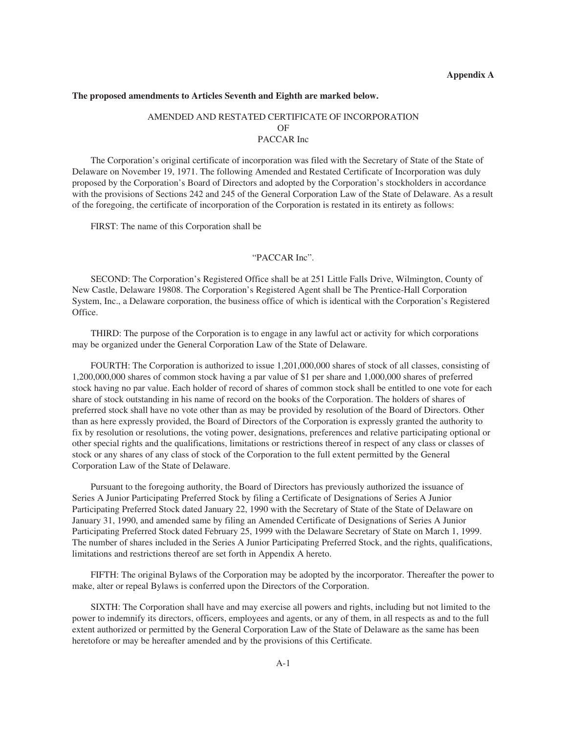#### <span id="page-42-0"></span>**The proposed amendments to Articles Seventh and Eighth are marked below.**

# AMENDED AND RESTATED CERTIFICATE OF INCORPORATION OF PACCAR Inc

The Corporation's original certificate of incorporation was filed with the Secretary of State of the State of Delaware on November 19, 1971. The following Amended and Restated Certificate of Incorporation was duly proposed by the Corporation's Board of Directors and adopted by the Corporation's stockholders in accordance with the provisions of Sections 242 and 245 of the General Corporation Law of the State of Delaware. As a result of the foregoing, the certificate of incorporation of the Corporation is restated in its entirety as follows:

FIRST: The name of this Corporation shall be

#### "PACCAR Inc".

SECOND: The Corporation's Registered Office shall be at 251 Little Falls Drive, Wilmington, County of New Castle, Delaware 19808. The Corporation's Registered Agent shall be The Prentice-Hall Corporation System, Inc., a Delaware corporation, the business office of which is identical with the Corporation's Registered Office.

THIRD: The purpose of the Corporation is to engage in any lawful act or activity for which corporations may be organized under the General Corporation Law of the State of Delaware.

FOURTH: The Corporation is authorized to issue 1,201,000,000 shares of stock of all classes, consisting of 1,200,000,000 shares of common stock having a par value of \$1 per share and 1,000,000 shares of preferred stock having no par value. Each holder of record of shares of common stock shall be entitled to one vote for each share of stock outstanding in his name of record on the books of the Corporation. The holders of shares of preferred stock shall have no vote other than as may be provided by resolution of the Board of Directors. Other than as here expressly provided, the Board of Directors of the Corporation is expressly granted the authority to fix by resolution or resolutions, the voting power, designations, preferences and relative participating optional or other special rights and the qualifications, limitations or restrictions thereof in respect of any class or classes of stock or any shares of any class of stock of the Corporation to the full extent permitted by the General Corporation Law of the State of Delaware.

Pursuant to the foregoing authority, the Board of Directors has previously authorized the issuance of Series A Junior Participating Preferred Stock by filing a Certificate of Designations of Series A Junior Participating Preferred Stock dated January 22, 1990 with the Secretary of State of the State of Delaware on January 31, 1990, and amended same by filing an Amended Certificate of Designations of Series A Junior Participating Preferred Stock dated February 25, 1999 with the Delaware Secretary of State on March 1, 1999. The number of shares included in the Series A Junior Participating Preferred Stock, and the rights, qualifications, limitations and restrictions thereof are set forth in Appendix A hereto.

FIFTH: The original Bylaws of the Corporation may be adopted by the incorporator. Thereafter the power to make, alter or repeal Bylaws is conferred upon the Directors of the Corporation.

SIXTH: The Corporation shall have and may exercise all powers and rights, including but not limited to the power to indemnify its directors, officers, employees and agents, or any of them, in all respects as and to the full extent authorized or permitted by the General Corporation Law of the State of Delaware as the same has been heretofore or may be hereafter amended and by the provisions of this Certificate.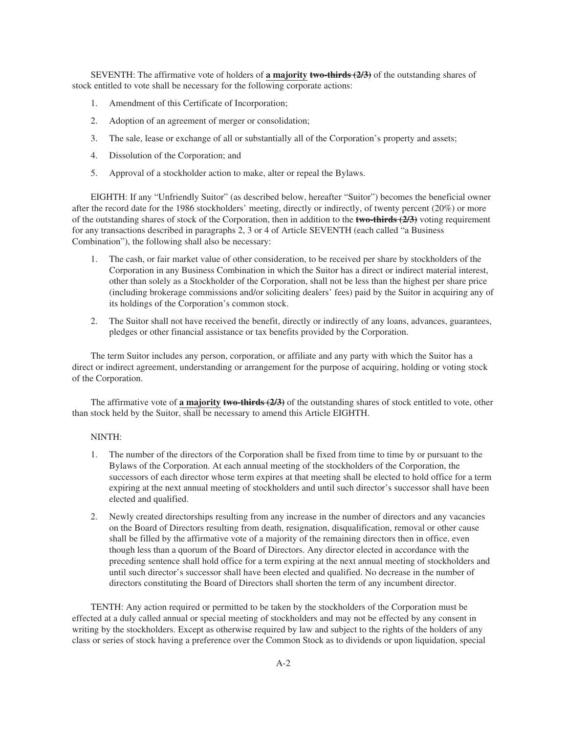SEVENTH: The affirmative vote of holders of **a majority two-thirds (2/3)** of the outstanding shares of stock entitled to vote shall be necessary for the following corporate actions:

- 1. Amendment of this Certificate of Incorporation;
- 2. Adoption of an agreement of merger or consolidation;
- 3. The sale, lease or exchange of all or substantially all of the Corporation's property and assets;
- 4. Dissolution of the Corporation; and
- 5. Approval of a stockholder action to make, alter or repeal the Bylaws.

EIGHTH: If any "Unfriendly Suitor" (as described below, hereafter "Suitor") becomes the beneficial owner after the record date for the 1986 stockholders' meeting, directly or indirectly, of twenty percent (20%) or more of the outstanding shares of stock of the Corporation, then in addition to the **two-thirds (2/3)** voting requirement for any transactions described in paragraphs 2, 3 or 4 of Article SEVENTH (each called "a Business Combination"), the following shall also be necessary:

- 1. The cash, or fair market value of other consideration, to be received per share by stockholders of the Corporation in any Business Combination in which the Suitor has a direct or indirect material interest, other than solely as a Stockholder of the Corporation, shall not be less than the highest per share price (including brokerage commissions and/or soliciting dealers' fees) paid by the Suitor in acquiring any of its holdings of the Corporation's common stock.
- 2. The Suitor shall not have received the benefit, directly or indirectly of any loans, advances, guarantees, pledges or other financial assistance or tax benefits provided by the Corporation.

The term Suitor includes any person, corporation, or affiliate and any party with which the Suitor has a direct or indirect agreement, understanding or arrangement for the purpose of acquiring, holding or voting stock of the Corporation.

The affirmative vote of **a majority two-thirds (2/3)** of the outstanding shares of stock entitled to vote, other than stock held by the Suitor, shall be necessary to amend this Article EIGHTH.

#### NINTH:

- 1. The number of the directors of the Corporation shall be fixed from time to time by or pursuant to the Bylaws of the Corporation. At each annual meeting of the stockholders of the Corporation, the successors of each director whose term expires at that meeting shall be elected to hold office for a term expiring at the next annual meeting of stockholders and until such director's successor shall have been elected and qualified.
- 2. Newly created directorships resulting from any increase in the number of directors and any vacancies on the Board of Directors resulting from death, resignation, disqualification, removal or other cause shall be filled by the affirmative vote of a majority of the remaining directors then in office, even though less than a quorum of the Board of Directors. Any director elected in accordance with the preceding sentence shall hold office for a term expiring at the next annual meeting of stockholders and until such director's successor shall have been elected and qualified. No decrease in the number of directors constituting the Board of Directors shall shorten the term of any incumbent director.

TENTH: Any action required or permitted to be taken by the stockholders of the Corporation must be effected at a duly called annual or special meeting of stockholders and may not be effected by any consent in writing by the stockholders. Except as otherwise required by law and subject to the rights of the holders of any class or series of stock having a preference over the Common Stock as to dividends or upon liquidation, special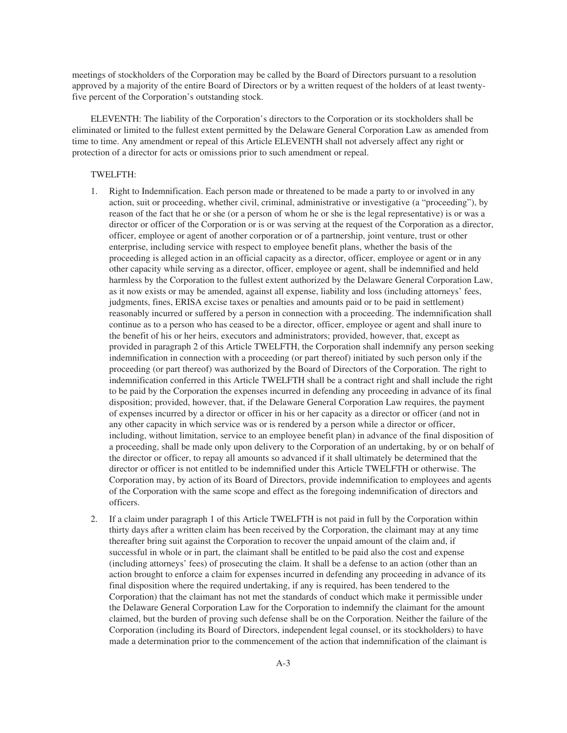meetings of stockholders of the Corporation may be called by the Board of Directors pursuant to a resolution approved by a majority of the entire Board of Directors or by a written request of the holders of at least twentyfive percent of the Corporation's outstanding stock.

ELEVENTH: The liability of the Corporation's directors to the Corporation or its stockholders shall be eliminated or limited to the fullest extent permitted by the Delaware General Corporation Law as amended from time to time. Any amendment or repeal of this Article ELEVENTH shall not adversely affect any right or protection of a director for acts or omissions prior to such amendment or repeal.

# TWELFTH:

- 1. Right to Indemnification. Each person made or threatened to be made a party to or involved in any action, suit or proceeding, whether civil, criminal, administrative or investigative (a "proceeding"), by reason of the fact that he or she (or a person of whom he or she is the legal representative) is or was a director or officer of the Corporation or is or was serving at the request of the Corporation as a director, officer, employee or agent of another corporation or of a partnership, joint venture, trust or other enterprise, including service with respect to employee benefit plans, whether the basis of the proceeding is alleged action in an official capacity as a director, officer, employee or agent or in any other capacity while serving as a director, officer, employee or agent, shall be indemnified and held harmless by the Corporation to the fullest extent authorized by the Delaware General Corporation Law, as it now exists or may be amended, against all expense, liability and loss (including attorneys' fees, judgments, fines, ERISA excise taxes or penalties and amounts paid or to be paid in settlement) reasonably incurred or suffered by a person in connection with a proceeding. The indemnification shall continue as to a person who has ceased to be a director, officer, employee or agent and shall inure to the benefit of his or her heirs, executors and administrators; provided, however, that, except as provided in paragraph 2 of this Article TWELFTH, the Corporation shall indemnify any person seeking indemnification in connection with a proceeding (or part thereof) initiated by such person only if the proceeding (or part thereof) was authorized by the Board of Directors of the Corporation. The right to indemnification conferred in this Article TWELFTH shall be a contract right and shall include the right to be paid by the Corporation the expenses incurred in defending any proceeding in advance of its final disposition; provided, however, that, if the Delaware General Corporation Law requires, the payment of expenses incurred by a director or officer in his or her capacity as a director or officer (and not in any other capacity in which service was or is rendered by a person while a director or officer, including, without limitation, service to an employee benefit plan) in advance of the final disposition of a proceeding, shall be made only upon delivery to the Corporation of an undertaking, by or on behalf of the director or officer, to repay all amounts so advanced if it shall ultimately be determined that the director or officer is not entitled to be indemnified under this Article TWELFTH or otherwise. The Corporation may, by action of its Board of Directors, provide indemnification to employees and agents of the Corporation with the same scope and effect as the foregoing indemnification of directors and officers.
- 2. If a claim under paragraph 1 of this Article TWELFTH is not paid in full by the Corporation within thirty days after a written claim has been received by the Corporation, the claimant may at any time thereafter bring suit against the Corporation to recover the unpaid amount of the claim and, if successful in whole or in part, the claimant shall be entitled to be paid also the cost and expense (including attorneys' fees) of prosecuting the claim. It shall be a defense to an action (other than an action brought to enforce a claim for expenses incurred in defending any proceeding in advance of its final disposition where the required undertaking, if any is required, has been tendered to the Corporation) that the claimant has not met the standards of conduct which make it permissible under the Delaware General Corporation Law for the Corporation to indemnify the claimant for the amount claimed, but the burden of proving such defense shall be on the Corporation. Neither the failure of the Corporation (including its Board of Directors, independent legal counsel, or its stockholders) to have made a determination prior to the commencement of the action that indemnification of the claimant is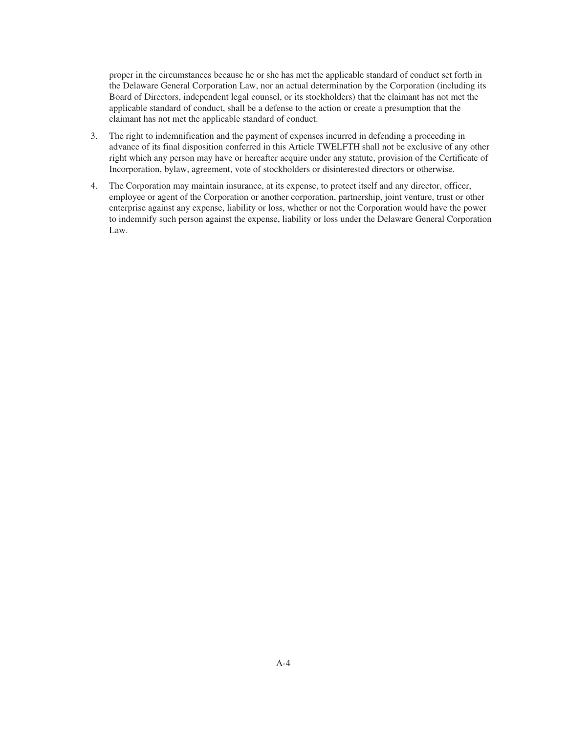proper in the circumstances because he or she has met the applicable standard of conduct set forth in the Delaware General Corporation Law, nor an actual determination by the Corporation (including its Board of Directors, independent legal counsel, or its stockholders) that the claimant has not met the applicable standard of conduct, shall be a defense to the action or create a presumption that the claimant has not met the applicable standard of conduct.

- 3. The right to indemnification and the payment of expenses incurred in defending a proceeding in advance of its final disposition conferred in this Article TWELFTH shall not be exclusive of any other right which any person may have or hereafter acquire under any statute, provision of the Certificate of Incorporation, bylaw, agreement, vote of stockholders or disinterested directors or otherwise.
- 4. The Corporation may maintain insurance, at its expense, to protect itself and any director, officer, employee or agent of the Corporation or another corporation, partnership, joint venture, trust or other enterprise against any expense, liability or loss, whether or not the Corporation would have the power to indemnify such person against the expense, liability or loss under the Delaware General Corporation Law.